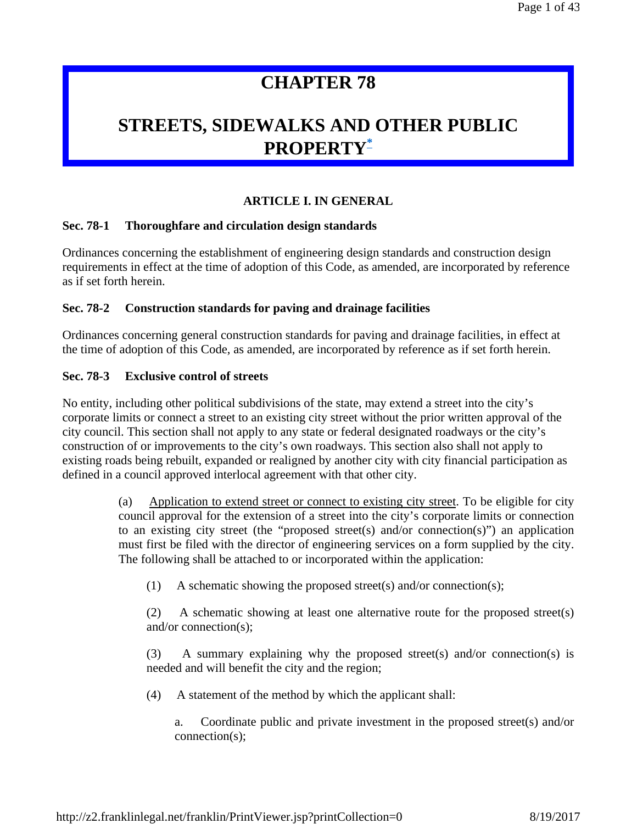# **CHAPTER 78**

# **STREETS, SIDEWALKS AND OTHER PUBLIC PROPERTY\***

# **ARTICLE I. IN GENERAL**

# **Sec. 78-1 Thoroughfare and circulation design standards**

Ordinances concerning the establishment of engineering design standards and construction design requirements in effect at the time of adoption of this Code, as amended, are incorporated by reference as if set forth herein.

## **Sec. 78-2 Construction standards for paving and drainage facilities**

Ordinances concerning general construction standards for paving and drainage facilities, in effect at the time of adoption of this Code, as amended, are incorporated by reference as if set forth herein.

## **Sec. 78-3 Exclusive control of streets**

No entity, including other political subdivisions of the state, may extend a street into the city's corporate limits or connect a street to an existing city street without the prior written approval of the city council. This section shall not apply to any state or federal designated roadways or the city's construction of or improvements to the city's own roadways. This section also shall not apply to existing roads being rebuilt, expanded or realigned by another city with city financial participation as defined in a council approved interlocal agreement with that other city.

> Application to extend street or connect to existing city street. To be eligible for city council approval for the extension of a street into the city's corporate limits or connection to an existing city street (the "proposed street(s) and/or connection(s)") an application must first be filed with the director of engineering services on a form supplied by the city. The following shall be attached to or incorporated within the application:

(1) A schematic showing the proposed street(s) and/or connection(s);

(2) A schematic showing at least one alternative route for the proposed street(s) and/or connection(s);

(3) A summary explaining why the proposed street(s) and/or connection(s) is needed and will benefit the city and the region;

(4) A statement of the method by which the applicant shall:

a. Coordinate public and private investment in the proposed street(s) and/or connection(s);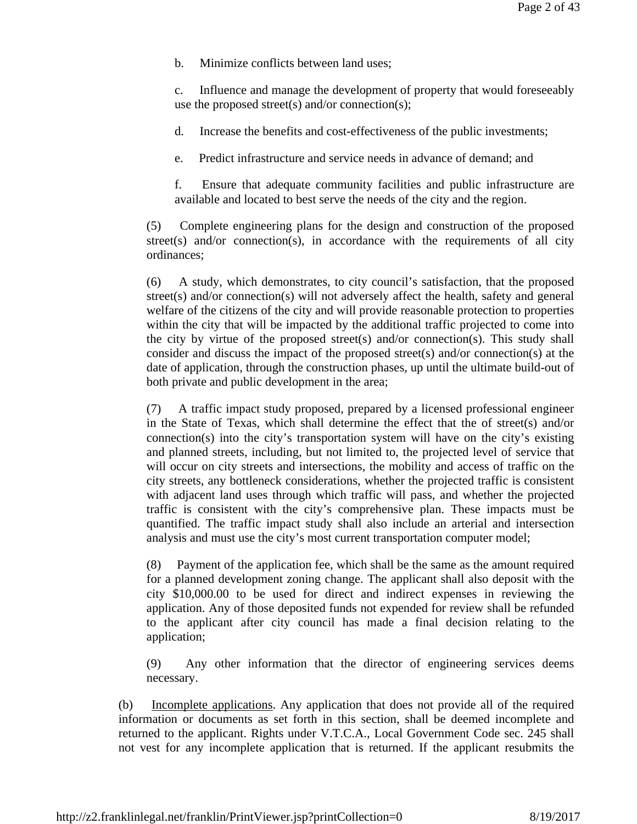b. Minimize conflicts between land uses;

c. Influence and manage the development of property that would foreseeably use the proposed street(s) and/or connection(s);

d. Increase the benefits and cost-effectiveness of the public investments;

e. Predict infrastructure and service needs in advance of demand; and

f. Ensure that adequate community facilities and public infrastructure are available and located to best serve the needs of the city and the region.

(5) Complete engineering plans for the design and construction of the proposed street(s) and/or connection(s), in accordance with the requirements of all city ordinances;

(6) A study, which demonstrates, to city council's satisfaction, that the proposed street(s) and/or connection(s) will not adversely affect the health, safety and general welfare of the citizens of the city and will provide reasonable protection to properties within the city that will be impacted by the additional traffic projected to come into the city by virtue of the proposed street(s) and/or connection(s). This study shall consider and discuss the impact of the proposed street(s) and/or connection(s) at the date of application, through the construction phases, up until the ultimate build-out of both private and public development in the area;

(7) A traffic impact study proposed, prepared by a licensed professional engineer in the State of Texas, which shall determine the effect that the of street(s) and/or connection(s) into the city's transportation system will have on the city's existing and planned streets, including, but not limited to, the projected level of service that will occur on city streets and intersections, the mobility and access of traffic on the city streets, any bottleneck considerations, whether the projected traffic is consistent with adjacent land uses through which traffic will pass, and whether the projected traffic is consistent with the city's comprehensive plan. These impacts must be quantified. The traffic impact study shall also include an arterial and intersection analysis and must use the city's most current transportation computer model;

(8) Payment of the application fee, which shall be the same as the amount required for a planned development zoning change. The applicant shall also deposit with the city \$10,000.00 to be used for direct and indirect expenses in reviewing the application. Any of those deposited funds not expended for review shall be refunded to the applicant after city council has made a final decision relating to the application;

(9) Any other information that the director of engineering services deems necessary.

(b) Incomplete applications. Any application that does not provide all of the required information or documents as set forth in this section, shall be deemed incomplete and returned to the applicant. Rights under V.T.C.A., Local Government Code sec. 245 shall not vest for any incomplete application that is returned. If the applicant resubmits the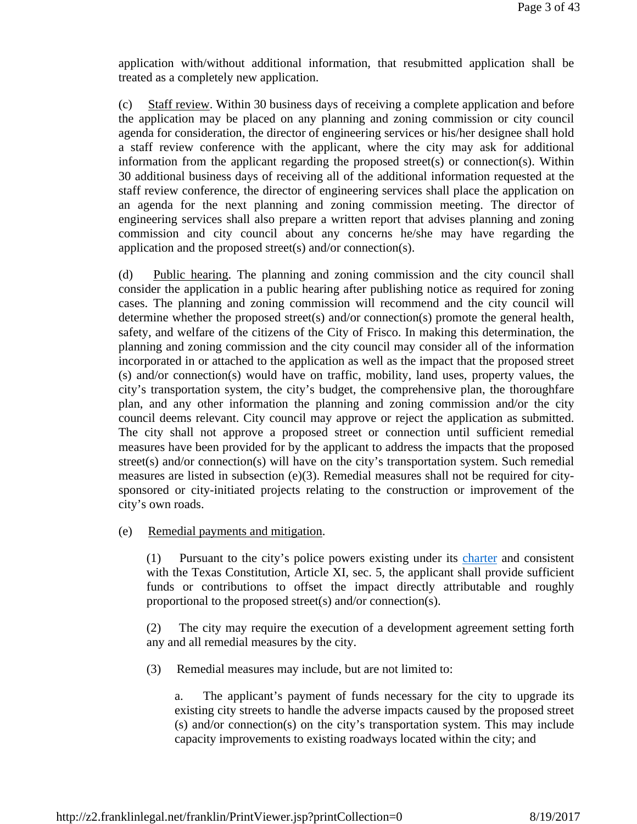application with/without additional information, that resubmitted application shall be treated as a completely new application.

(c) Staff review. Within 30 business days of receiving a complete application and before the application may be placed on any planning and zoning commission or city council agenda for consideration, the director of engineering services or his/her designee shall hold a staff review conference with the applicant, where the city may ask for additional information from the applicant regarding the proposed street(s) or connection(s). Within 30 additional business days of receiving all of the additional information requested at the staff review conference, the director of engineering services shall place the application on an agenda for the next planning and zoning commission meeting. The director of engineering services shall also prepare a written report that advises planning and zoning commission and city council about any concerns he/she may have regarding the application and the proposed street(s) and/or connection(s).

(d) Public hearing. The planning and zoning commission and the city council shall consider the application in a public hearing after publishing notice as required for zoning cases. The planning and zoning commission will recommend and the city council will determine whether the proposed street(s) and/or connection(s) promote the general health, safety, and welfare of the citizens of the City of Frisco. In making this determination, the planning and zoning commission and the city council may consider all of the information incorporated in or attached to the application as well as the impact that the proposed street (s) and/or connection(s) would have on traffic, mobility, land uses, property values, the city's transportation system, the city's budget, the comprehensive plan, the thoroughfare plan, and any other information the planning and zoning commission and/or the city council deems relevant. City council may approve or reject the application as submitted. The city shall not approve a proposed street or connection until sufficient remedial measures have been provided for by the applicant to address the impacts that the proposed street(s) and/or connection(s) will have on the city's transportation system. Such remedial measures are listed in subsection (e)(3). Remedial measures shall not be required for citysponsored or city-initiated projects relating to the construction or improvement of the city's own roads.

(e) Remedial payments and mitigation.

(1) Pursuant to the city's police powers existing under its charter and consistent with the Texas Constitution, Article XI, sec. 5, the applicant shall provide sufficient funds or contributions to offset the impact directly attributable and roughly proportional to the proposed street(s) and/or connection(s).

(2) The city may require the execution of a development agreement setting forth any and all remedial measures by the city.

(3) Remedial measures may include, but are not limited to:

a. The applicant's payment of funds necessary for the city to upgrade its existing city streets to handle the adverse impacts caused by the proposed street (s) and/or connection(s) on the city's transportation system. This may include capacity improvements to existing roadways located within the city; and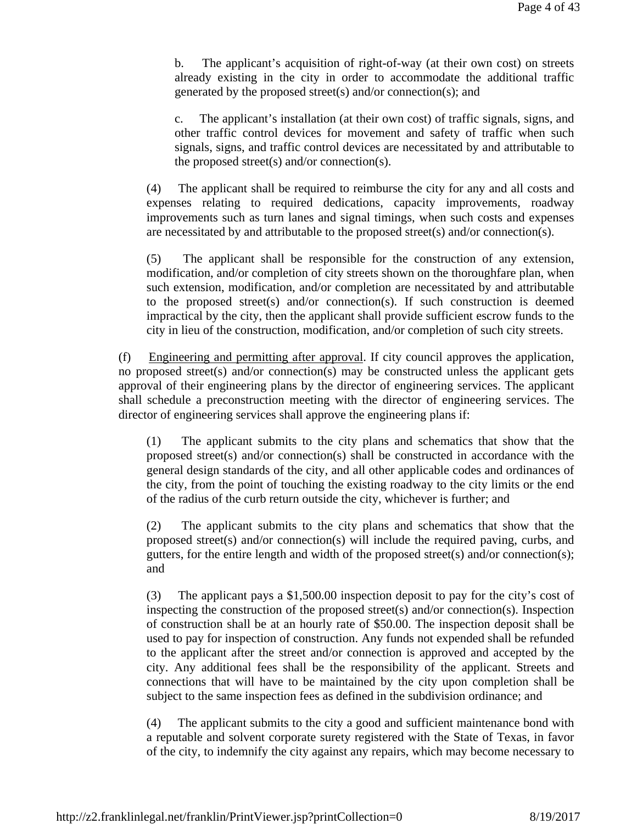b. The applicant's acquisition of right-of-way (at their own cost) on streets already existing in the city in order to accommodate the additional traffic generated by the proposed street(s) and/or connection(s); and

c. The applicant's installation (at their own cost) of traffic signals, signs, and other traffic control devices for movement and safety of traffic when such signals, signs, and traffic control devices are necessitated by and attributable to the proposed street(s) and/or connection(s).

(4) The applicant shall be required to reimburse the city for any and all costs and expenses relating to required dedications, capacity improvements, roadway improvements such as turn lanes and signal timings, when such costs and expenses are necessitated by and attributable to the proposed street(s) and/or connection(s).

(5) The applicant shall be responsible for the construction of any extension, modification, and/or completion of city streets shown on the thoroughfare plan, when such extension, modification, and/or completion are necessitated by and attributable to the proposed street(s) and/or connection(s). If such construction is deemed impractical by the city, then the applicant shall provide sufficient escrow funds to the city in lieu of the construction, modification, and/or completion of such city streets.

(f) Engineering and permitting after approval. If city council approves the application, no proposed street(s) and/or connection(s) may be constructed unless the applicant gets approval of their engineering plans by the director of engineering services. The applicant shall schedule a preconstruction meeting with the director of engineering services. The director of engineering services shall approve the engineering plans if:

(1) The applicant submits to the city plans and schematics that show that the proposed street(s) and/or connection(s) shall be constructed in accordance with the general design standards of the city, and all other applicable codes and ordinances of the city, from the point of touching the existing roadway to the city limits or the end of the radius of the curb return outside the city, whichever is further; and

(2) The applicant submits to the city plans and schematics that show that the proposed street(s) and/or connection(s) will include the required paving, curbs, and gutters, for the entire length and width of the proposed street(s) and/or connection(s); and

(3) The applicant pays a \$1,500.00 inspection deposit to pay for the city's cost of inspecting the construction of the proposed street(s) and/or connection(s). Inspection of construction shall be at an hourly rate of \$50.00. The inspection deposit shall be used to pay for inspection of construction. Any funds not expended shall be refunded to the applicant after the street and/or connection is approved and accepted by the city. Any additional fees shall be the responsibility of the applicant. Streets and connections that will have to be maintained by the city upon completion shall be subject to the same inspection fees as defined in the subdivision ordinance; and

(4) The applicant submits to the city a good and sufficient maintenance bond with a reputable and solvent corporate surety registered with the State of Texas, in favor of the city, to indemnify the city against any repairs, which may become necessary to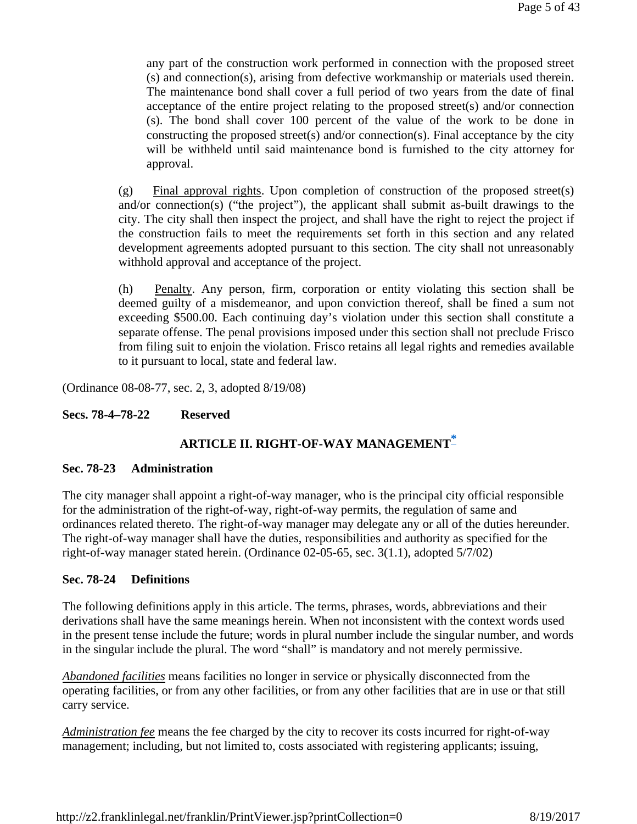any part of the construction work performed in connection with the proposed street (s) and connection(s), arising from defective workmanship or materials used therein. The maintenance bond shall cover a full period of two years from the date of final acceptance of the entire project relating to the proposed street(s) and/or connection (s). The bond shall cover 100 percent of the value of the work to be done in constructing the proposed street(s) and/or connection(s). Final acceptance by the city will be withheld until said maintenance bond is furnished to the city attorney for approval.

(g) Final approval rights. Upon completion of construction of the proposed street(s) and/or connection(s) ("the project"), the applicant shall submit as-built drawings to the city. The city shall then inspect the project, and shall have the right to reject the project if the construction fails to meet the requirements set forth in this section and any related development agreements adopted pursuant to this section. The city shall not unreasonably withhold approval and acceptance of the project.

(h) Penalty. Any person, firm, corporation or entity violating this section shall be deemed guilty of a misdemeanor, and upon conviction thereof, shall be fined a sum not exceeding \$500.00. Each continuing day's violation under this section shall constitute a separate offense. The penal provisions imposed under this section shall not preclude Frisco from filing suit to enjoin the violation. Frisco retains all legal rights and remedies available to it pursuant to local, state and federal law.

(Ordinance 08-08-77, sec. 2, 3, adopted 8/19/08)

## **Secs. 78-4–78-22 Reserved**

# **ARTICLE II. RIGHT-OF-WAY MANAGEMENT\***

## **Sec. 78-23 Administration**

The city manager shall appoint a right-of-way manager, who is the principal city official responsible for the administration of the right-of-way, right-of-way permits, the regulation of same and ordinances related thereto. The right-of-way manager may delegate any or all of the duties hereunder. The right-of-way manager shall have the duties, responsibilities and authority as specified for the right-of-way manager stated herein. (Ordinance 02-05-65, sec. 3(1.1), adopted 5/7/02)

## **Sec. 78-24 Definitions**

The following definitions apply in this article. The terms, phrases, words, abbreviations and their derivations shall have the same meanings herein. When not inconsistent with the context words used in the present tense include the future; words in plural number include the singular number, and words in the singular include the plural. The word "shall" is mandatory and not merely permissive.

*Abandoned facilities* means facilities no longer in service or physically disconnected from the operating facilities, or from any other facilities, or from any other facilities that are in use or that still carry service.

*Administration fee* means the fee charged by the city to recover its costs incurred for right-of-way management; including, but not limited to, costs associated with registering applicants; issuing,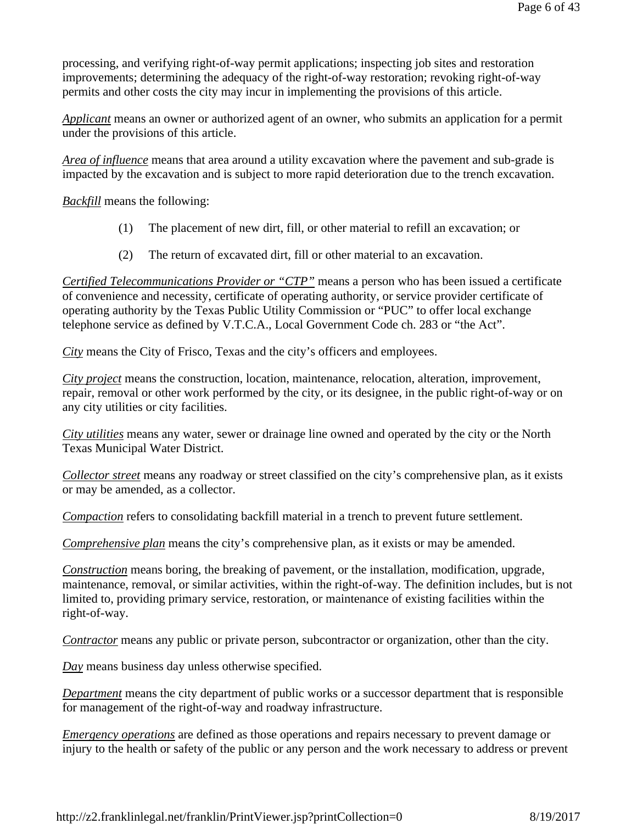processing, and verifying right-of-way permit applications; inspecting job sites and restoration improvements; determining the adequacy of the right-of-way restoration; revoking right-of-way permits and other costs the city may incur in implementing the provisions of this article.

*Applicant* means an owner or authorized agent of an owner, who submits an application for a permit under the provisions of this article.

*Area of influence* means that area around a utility excavation where the pavement and sub-grade is impacted by the excavation and is subject to more rapid deterioration due to the trench excavation.

*Backfill* means the following:

- (1) The placement of new dirt, fill, or other material to refill an excavation; or
- (2) The return of excavated dirt, fill or other material to an excavation.

*Certified Telecommunications Provider or "CTP"* means a person who has been issued a certificate of convenience and necessity, certificate of operating authority, or service provider certificate of operating authority by the Texas Public Utility Commission or "PUC" to offer local exchange telephone service as defined by V.T.C.A., Local Government Code ch. 283 or "the Act".

*City* means the City of Frisco, Texas and the city's officers and employees.

*City project* means the construction, location, maintenance, relocation, alteration, improvement, repair, removal or other work performed by the city, or its designee, in the public right-of-way or on any city utilities or city facilities.

*City utilities* means any water, sewer or drainage line owned and operated by the city or the North Texas Municipal Water District.

*Collector street* means any roadway or street classified on the city's comprehensive plan, as it exists or may be amended, as a collector.

*Compaction* refers to consolidating backfill material in a trench to prevent future settlement.

*Comprehensive plan* means the city's comprehensive plan, as it exists or may be amended.

*Construction* means boring, the breaking of pavement, or the installation, modification, upgrade, maintenance, removal, or similar activities, within the right-of-way. The definition includes, but is not limited to, providing primary service, restoration, or maintenance of existing facilities within the right-of-way.

*Contractor* means any public or private person, subcontractor or organization, other than the city.

*Day* means business day unless otherwise specified.

*Department* means the city department of public works or a successor department that is responsible for management of the right-of-way and roadway infrastructure.

*Emergency operations* are defined as those operations and repairs necessary to prevent damage or injury to the health or safety of the public or any person and the work necessary to address or prevent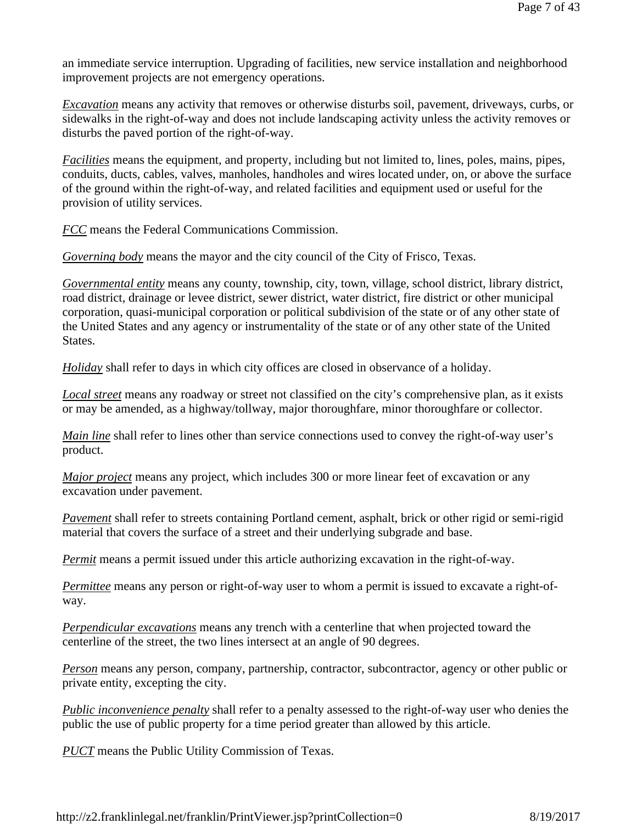an immediate service interruption. Upgrading of facilities, new service installation and neighborhood improvement projects are not emergency operations.

*Excavation* means any activity that removes or otherwise disturbs soil, pavement, driveways, curbs, or sidewalks in the right-of-way and does not include landscaping activity unless the activity removes or disturbs the paved portion of the right-of-way.

*Facilities* means the equipment, and property, including but not limited to, lines, poles, mains, pipes, conduits, ducts, cables, valves, manholes, handholes and wires located under, on, or above the surface of the ground within the right-of-way, and related facilities and equipment used or useful for the provision of utility services.

*FCC* means the Federal Communications Commission.

*Governing body* means the mayor and the city council of the City of Frisco, Texas.

*Governmental entity* means any county, township, city, town, village, school district, library district, road district, drainage or levee district, sewer district, water district, fire district or other municipal corporation, quasi-municipal corporation or political subdivision of the state or of any other state of the United States and any agency or instrumentality of the state or of any other state of the United States.

*Holiday* shall refer to days in which city offices are closed in observance of a holiday.

*Local street* means any roadway or street not classified on the city's comprehensive plan, as it exists or may be amended, as a highway/tollway, major thoroughfare, minor thoroughfare or collector.

*Main line* shall refer to lines other than service connections used to convey the right-of-way user's product.

*Major project* means any project, which includes 300 or more linear feet of excavation or any excavation under pavement.

*Pavement* shall refer to streets containing Portland cement, asphalt, brick or other rigid or semi-rigid material that covers the surface of a street and their underlying subgrade and base.

*Permit* means a permit issued under this article authorizing excavation in the right-of-way.

*Permittee* means any person or right-of-way user to whom a permit is issued to excavate a right-ofway.

*Perpendicular excavations* means any trench with a centerline that when projected toward the centerline of the street, the two lines intersect at an angle of 90 degrees.

*Person* means any person, company, partnership, contractor, subcontractor, agency or other public or private entity, excepting the city.

*Public inconvenience penalty* shall refer to a penalty assessed to the right-of-way user who denies the public the use of public property for a time period greater than allowed by this article.

*PUCT* means the Public Utility Commission of Texas.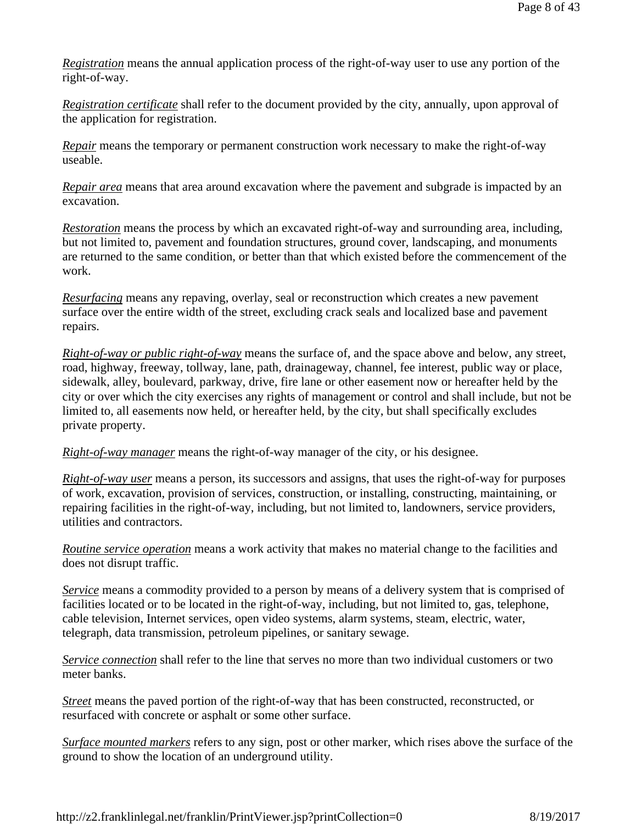*Registration* means the annual application process of the right-of-way user to use any portion of the right-of-way.

*Registration certificate* shall refer to the document provided by the city, annually, upon approval of the application for registration.

*Repair* means the temporary or permanent construction work necessary to make the right-of-way useable.

*Repair area* means that area around excavation where the pavement and subgrade is impacted by an excavation.

*Restoration* means the process by which an excavated right-of-way and surrounding area, including, but not limited to, pavement and foundation structures, ground cover, landscaping, and monuments are returned to the same condition, or better than that which existed before the commencement of the work.

*Resurfacing* means any repaving, overlay, seal or reconstruction which creates a new pavement surface over the entire width of the street, excluding crack seals and localized base and pavement repairs.

*Right-of-way or public right-of-way* means the surface of, and the space above and below, any street, road, highway, freeway, tollway, lane, path, drainageway, channel, fee interest, public way or place, sidewalk, alley, boulevard, parkway, drive, fire lane or other easement now or hereafter held by the city or over which the city exercises any rights of management or control and shall include, but not be limited to, all easements now held, or hereafter held, by the city, but shall specifically excludes private property.

*Right-of-way manager* means the right-of-way manager of the city, or his designee.

*Right-of-way user* means a person, its successors and assigns, that uses the right-of-way for purposes of work, excavation, provision of services, construction, or installing, constructing, maintaining, or repairing facilities in the right-of-way, including, but not limited to, landowners, service providers, utilities and contractors.

*Routine service operation* means a work activity that makes no material change to the facilities and does not disrupt traffic.

*Service* means a commodity provided to a person by means of a delivery system that is comprised of facilities located or to be located in the right-of-way, including, but not limited to, gas, telephone, cable television, Internet services, open video systems, alarm systems, steam, electric, water, telegraph, data transmission, petroleum pipelines, or sanitary sewage.

*Service connection* shall refer to the line that serves no more than two individual customers or two meter banks.

*Street* means the paved portion of the right-of-way that has been constructed, reconstructed, or resurfaced with concrete or asphalt or some other surface.

*Surface mounted markers* refers to any sign, post or other marker, which rises above the surface of the ground to show the location of an underground utility.

http://z2.franklinlegal.net/franklin/PrintViewer.jsp?printCollection=0 8/19/2017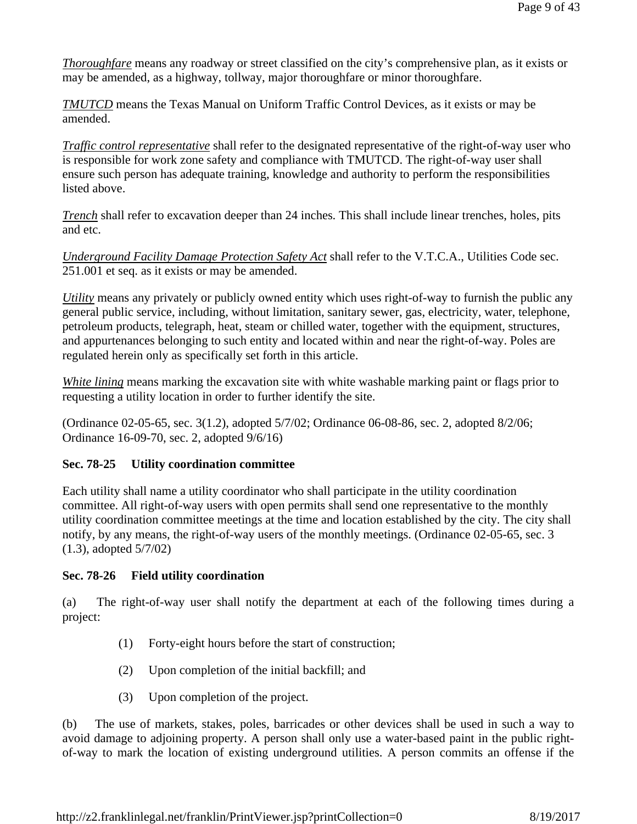*Thoroughfare* means any roadway or street classified on the city's comprehensive plan, as it exists or may be amended, as a highway, tollway, major thoroughfare or minor thoroughfare.

*TMUTCD* means the Texas Manual on Uniform Traffic Control Devices, as it exists or may be amended.

*Traffic control representative* shall refer to the designated representative of the right-of-way user who is responsible for work zone safety and compliance with TMUTCD. The right-of-way user shall ensure such person has adequate training, knowledge and authority to perform the responsibilities listed above.

*Trench* shall refer to excavation deeper than 24 inches. This shall include linear trenches, holes, pits and etc.

*Underground Facility Damage Protection Safety Act* shall refer to the V.T.C.A., Utilities Code sec. 251.001 et seq. as it exists or may be amended.

*Utility* means any privately or publicly owned entity which uses right-of-way to furnish the public any general public service, including, without limitation, sanitary sewer, gas, electricity, water, telephone, petroleum products, telegraph, heat, steam or chilled water, together with the equipment, structures, and appurtenances belonging to such entity and located within and near the right-of-way. Poles are regulated herein only as specifically set forth in this article.

*White lining* means marking the excavation site with white washable marking paint or flags prior to requesting a utility location in order to further identify the site.

(Ordinance 02-05-65, sec. 3(1.2), adopted 5/7/02; Ordinance 06-08-86, sec. 2, adopted 8/2/06; Ordinance 16-09-70, sec. 2, adopted 9/6/16)

# **Sec. 78-25 Utility coordination committee**

Each utility shall name a utility coordinator who shall participate in the utility coordination committee. All right-of-way users with open permits shall send one representative to the monthly utility coordination committee meetings at the time and location established by the city. The city shall notify, by any means, the right-of-way users of the monthly meetings. (Ordinance 02-05-65, sec. 3 (1.3), adopted 5/7/02)

## **Sec. 78-26 Field utility coordination**

(a) The right-of-way user shall notify the department at each of the following times during a project:

- (1) Forty-eight hours before the start of construction;
- (2) Upon completion of the initial backfill; and
- (3) Upon completion of the project.

(b) The use of markets, stakes, poles, barricades or other devices shall be used in such a way to avoid damage to adjoining property. A person shall only use a water-based paint in the public rightof-way to mark the location of existing underground utilities. A person commits an offense if the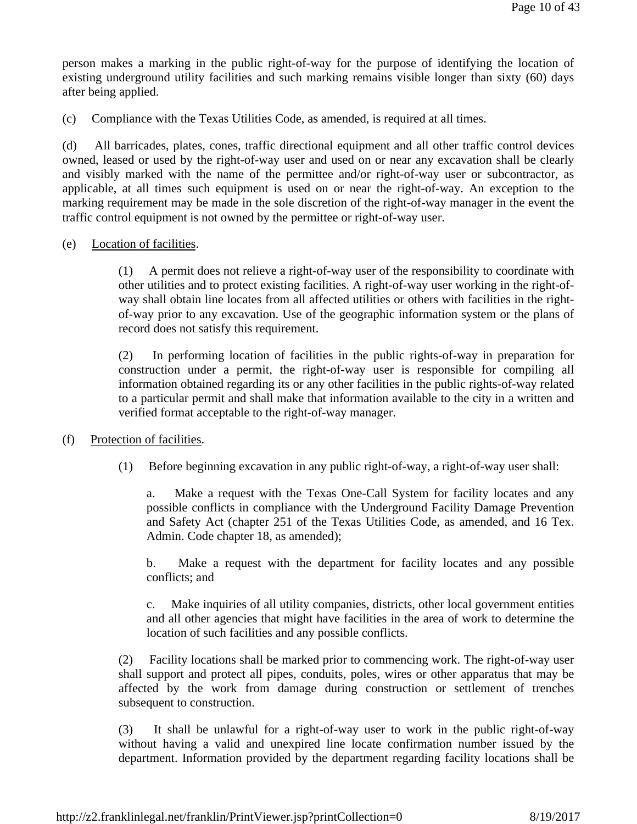person makes a marking in the public right-of-way for the purpose of identifying the location of existing underground utility facilities and such marking remains visible longer than sixty (60) days after being applied.

(c) Compliance with the Texas Utilities Code, as amended, is required at all times.

(d) All barricades, plates, cones, traffic directional equipment and all other traffic control devices owned, leased or used by the right-of-way user and used on or near any excavation shall be clearly and visibly marked with the name of the permittee and/or right-of-way user or subcontractor, as applicable, at all times such equipment is used on or near the right-of-way. An exception to the marking requirement may be made in the sole discretion of the right-of-way manager in the event the traffic control equipment is not owned by the permittee or right-of-way user.

## (e) Location of facilities.

(1) A permit does not relieve a right-of-way user of the responsibility to coordinate with other utilities and to protect existing facilities. A right-of-way user working in the right-ofway shall obtain line locates from all affected utilities or others with facilities in the rightof-way prior to any excavation. Use of the geographic information system or the plans of record does not satisfy this requirement.

(2) In performing location of facilities in the public rights-of-way in preparation for construction under a permit, the right-of-way user is responsible for compiling all information obtained regarding its or any other facilities in the public rights-of-way related to a particular permit and shall make that information available to the city in a written and verified format acceptable to the right-of-way manager.

## (f) Protection of facilities.

(1) Before beginning excavation in any public right-of-way, a right-of-way user shall:

a. Make a request with the Texas One-Call System for facility locates and any possible conflicts in compliance with the Underground Facility Damage Prevention and Safety Act (chapter 251 of the Texas Utilities Code, as amended, and 16 Tex. Admin. Code chapter 18, as amended);

b. Make a request with the department for facility locates and any possible conflicts; and

c. Make inquiries of all utility companies, districts, other local government entities and all other agencies that might have facilities in the area of work to determine the location of such facilities and any possible conflicts.

(2) Facility locations shall be marked prior to commencing work. The right-of-way user shall support and protect all pipes, conduits, poles, wires or other apparatus that may be affected by the work from damage during construction or settlement of trenches subsequent to construction.

(3) It shall be unlawful for a right-of-way user to work in the public right-of-way without having a valid and unexpired line locate confirmation number issued by the department. Information provided by the department regarding facility locations shall be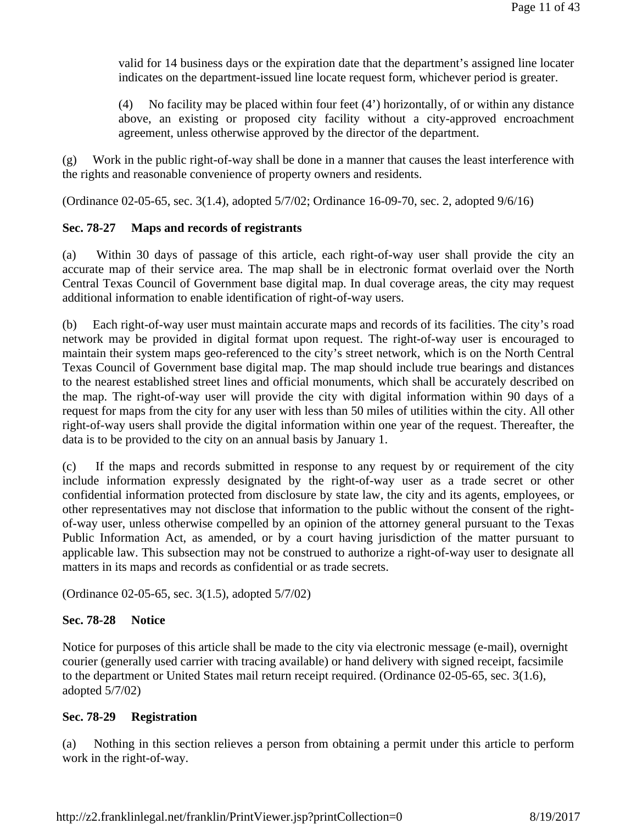valid for 14 business days or the expiration date that the department's assigned line locater indicates on the department-issued line locate request form, whichever period is greater.

(4) No facility may be placed within four feet (4') horizontally, of or within any distance above, an existing or proposed city facility without a city-approved encroachment agreement, unless otherwise approved by the director of the department.

(g) Work in the public right-of-way shall be done in a manner that causes the least interference with the rights and reasonable convenience of property owners and residents.

(Ordinance 02-05-65, sec. 3(1.4), adopted 5/7/02; Ordinance 16-09-70, sec. 2, adopted 9/6/16)

# **Sec. 78-27 Maps and records of registrants**

(a) Within 30 days of passage of this article, each right-of-way user shall provide the city an accurate map of their service area. The map shall be in electronic format overlaid over the North Central Texas Council of Government base digital map. In dual coverage areas, the city may request additional information to enable identification of right-of-way users.

(b) Each right-of-way user must maintain accurate maps and records of its facilities. The city's road network may be provided in digital format upon request. The right-of-way user is encouraged to maintain their system maps geo-referenced to the city's street network, which is on the North Central Texas Council of Government base digital map. The map should include true bearings and distances to the nearest established street lines and official monuments, which shall be accurately described on the map. The right-of-way user will provide the city with digital information within 90 days of a request for maps from the city for any user with less than 50 miles of utilities within the city. All other right-of-way users shall provide the digital information within one year of the request. Thereafter, the data is to be provided to the city on an annual basis by January 1.

(c) If the maps and records submitted in response to any request by or requirement of the city include information expressly designated by the right-of-way user as a trade secret or other confidential information protected from disclosure by state law, the city and its agents, employees, or other representatives may not disclose that information to the public without the consent of the rightof-way user, unless otherwise compelled by an opinion of the attorney general pursuant to the Texas Public Information Act, as amended, or by a court having jurisdiction of the matter pursuant to applicable law. This subsection may not be construed to authorize a right-of-way user to designate all matters in its maps and records as confidential or as trade secrets.

(Ordinance 02-05-65, sec. 3(1.5), adopted 5/7/02)

# **Sec. 78-28 Notice**

Notice for purposes of this article shall be made to the city via electronic message (e-mail), overnight courier (generally used carrier with tracing available) or hand delivery with signed receipt, facsimile to the department or United States mail return receipt required. (Ordinance 02-05-65, sec. 3(1.6), adopted 5/7/02)

## **Sec. 78-29 Registration**

(a) Nothing in this section relieves a person from obtaining a permit under this article to perform work in the right-of-way.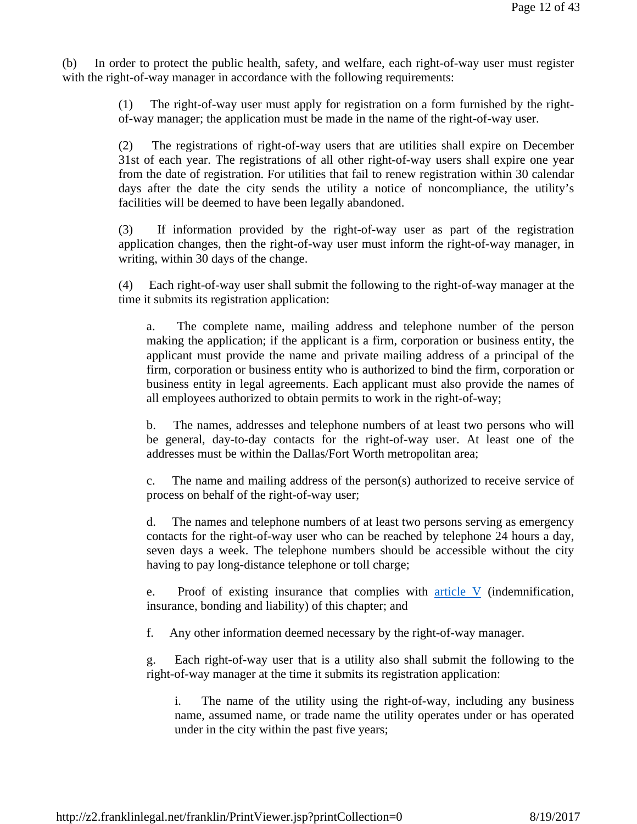(b) In order to protect the public health, safety, and welfare, each right-of-way user must register with the right-of-way manager in accordance with the following requirements:

> (1) The right-of-way user must apply for registration on a form furnished by the rightof-way manager; the application must be made in the name of the right-of-way user.

> (2) The registrations of right-of-way users that are utilities shall expire on December 31st of each year. The registrations of all other right-of-way users shall expire one year from the date of registration. For utilities that fail to renew registration within 30 calendar days after the date the city sends the utility a notice of noncompliance, the utility's facilities will be deemed to have been legally abandoned.

> (3) If information provided by the right-of-way user as part of the registration application changes, then the right-of-way user must inform the right-of-way manager, in writing, within 30 days of the change.

> (4) Each right-of-way user shall submit the following to the right-of-way manager at the time it submits its registration application:

a. The complete name, mailing address and telephone number of the person making the application; if the applicant is a firm, corporation or business entity, the applicant must provide the name and private mailing address of a principal of the firm, corporation or business entity who is authorized to bind the firm, corporation or business entity in legal agreements. Each applicant must also provide the names of all employees authorized to obtain permits to work in the right-of-way;

b. The names, addresses and telephone numbers of at least two persons who will be general, day-to-day contacts for the right-of-way user. At least one of the addresses must be within the Dallas/Fort Worth metropolitan area;

c. The name and mailing address of the person(s) authorized to receive service of process on behalf of the right-of-way user;

d. The names and telephone numbers of at least two persons serving as emergency contacts for the right-of-way user who can be reached by telephone 24 hours a day, seven days a week. The telephone numbers should be accessible without the city having to pay long-distance telephone or toll charge;

e. Proof of existing insurance that complies with  $\frac{\text{article V}}{\text{atile } V}$  (indemnification, insurance, bonding and liability) of this chapter; and

f. Any other information deemed necessary by the right-of-way manager.

g. Each right-of-way user that is a utility also shall submit the following to the right-of-way manager at the time it submits its registration application:

i. The name of the utility using the right-of-way, including any business name, assumed name, or trade name the utility operates under or has operated under in the city within the past five years;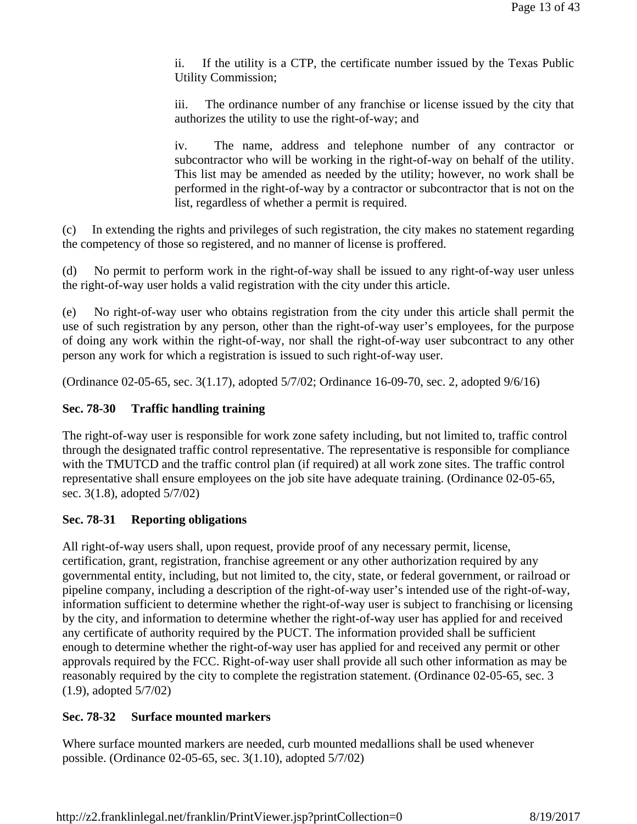ii. If the utility is a CTP, the certificate number issued by the Texas Public Utility Commission;

iii. The ordinance number of any franchise or license issued by the city that authorizes the utility to use the right-of-way; and

iv. The name, address and telephone number of any contractor or subcontractor who will be working in the right-of-way on behalf of the utility. This list may be amended as needed by the utility; however, no work shall be performed in the right-of-way by a contractor or subcontractor that is not on the list, regardless of whether a permit is required.

(c) In extending the rights and privileges of such registration, the city makes no statement regarding the competency of those so registered, and no manner of license is proffered.

(d) No permit to perform work in the right-of-way shall be issued to any right-of-way user unless the right-of-way user holds a valid registration with the city under this article.

(e) No right-of-way user who obtains registration from the city under this article shall permit the use of such registration by any person, other than the right-of-way user's employees, for the purpose of doing any work within the right-of-way, nor shall the right-of-way user subcontract to any other person any work for which a registration is issued to such right-of-way user.

(Ordinance 02-05-65, sec. 3(1.17), adopted 5/7/02; Ordinance 16-09-70, sec. 2, adopted 9/6/16)

# **Sec. 78-30 Traffic handling training**

The right-of-way user is responsible for work zone safety including, but not limited to, traffic control through the designated traffic control representative. The representative is responsible for compliance with the TMUTCD and the traffic control plan (if required) at all work zone sites. The traffic control representative shall ensure employees on the job site have adequate training. (Ordinance 02-05-65, sec. 3(1.8), adopted 5/7/02)

# **Sec. 78-31 Reporting obligations**

All right-of-way users shall, upon request, provide proof of any necessary permit, license, certification, grant, registration, franchise agreement or any other authorization required by any governmental entity, including, but not limited to, the city, state, or federal government, or railroad or pipeline company, including a description of the right-of-way user's intended use of the right-of-way, information sufficient to determine whether the right-of-way user is subject to franchising or licensing by the city, and information to determine whether the right-of-way user has applied for and received any certificate of authority required by the PUCT. The information provided shall be sufficient enough to determine whether the right-of-way user has applied for and received any permit or other approvals required by the FCC. Right-of-way user shall provide all such other information as may be reasonably required by the city to complete the registration statement. (Ordinance 02-05-65, sec. 3 (1.9), adopted 5/7/02)

# **Sec. 78-32 Surface mounted markers**

Where surface mounted markers are needed, curb mounted medallions shall be used whenever possible. (Ordinance 02-05-65, sec. 3(1.10), adopted 5/7/02)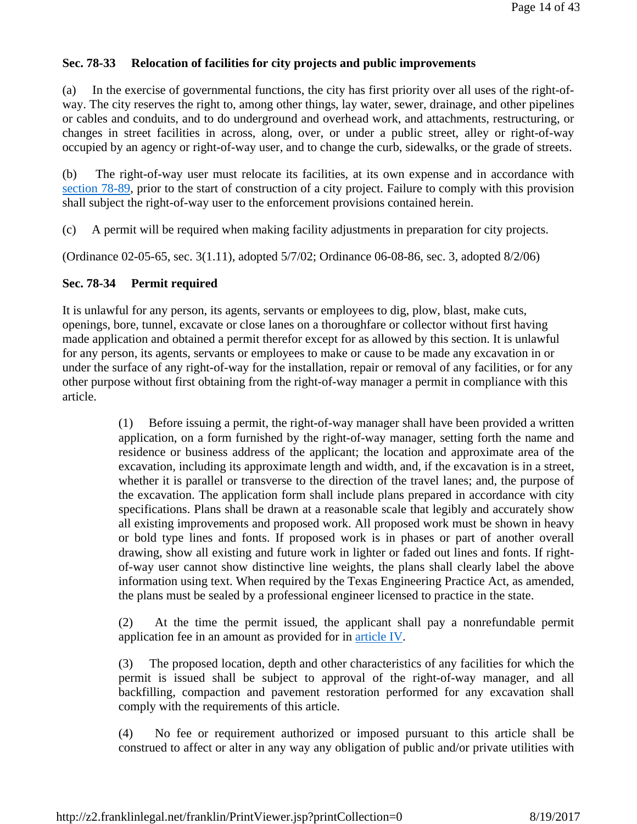## **Sec. 78-33 Relocation of facilities for city projects and public improvements**

(a) In the exercise of governmental functions, the city has first priority over all uses of the right-ofway. The city reserves the right to, among other things, lay water, sewer, drainage, and other pipelines or cables and conduits, and to do underground and overhead work, and attachments, restructuring, or changes in street facilities in across, along, over, or under a public street, alley or right-of-way occupied by an agency or right-of-way user, and to change the curb, sidewalks, or the grade of streets.

(b) The right-of-way user must relocate its facilities, at its own expense and in accordance with section 78-89, prior to the start of construction of a city project. Failure to comply with this provision shall subject the right-of-way user to the enforcement provisions contained herein.

(c) A permit will be required when making facility adjustments in preparation for city projects.

(Ordinance 02-05-65, sec. 3(1.11), adopted 5/7/02; Ordinance 06-08-86, sec. 3, adopted 8/2/06)

## **Sec. 78-34 Permit required**

It is unlawful for any person, its agents, servants or employees to dig, plow, blast, make cuts, openings, bore, tunnel, excavate or close lanes on a thoroughfare or collector without first having made application and obtained a permit therefor except for as allowed by this section. It is unlawful for any person, its agents, servants or employees to make or cause to be made any excavation in or under the surface of any right-of-way for the installation, repair or removal of any facilities, or for any other purpose without first obtaining from the right-of-way manager a permit in compliance with this article.

> (1) Before issuing a permit, the right-of-way manager shall have been provided a written application, on a form furnished by the right-of-way manager, setting forth the name and residence or business address of the applicant; the location and approximate area of the excavation, including its approximate length and width, and, if the excavation is in a street, whether it is parallel or transverse to the direction of the travel lanes; and, the purpose of the excavation. The application form shall include plans prepared in accordance with city specifications. Plans shall be drawn at a reasonable scale that legibly and accurately show all existing improvements and proposed work. All proposed work must be shown in heavy or bold type lines and fonts. If proposed work is in phases or part of another overall drawing, show all existing and future work in lighter or faded out lines and fonts. If rightof-way user cannot show distinctive line weights, the plans shall clearly label the above information using text. When required by the Texas Engineering Practice Act, as amended, the plans must be sealed by a professional engineer licensed to practice in the state.

> (2) At the time the permit issued, the applicant shall pay a nonrefundable permit application fee in an amount as provided for in article IV.

> (3) The proposed location, depth and other characteristics of any facilities for which the permit is issued shall be subject to approval of the right-of-way manager, and all backfilling, compaction and pavement restoration performed for any excavation shall comply with the requirements of this article.

> (4) No fee or requirement authorized or imposed pursuant to this article shall be construed to affect or alter in any way any obligation of public and/or private utilities with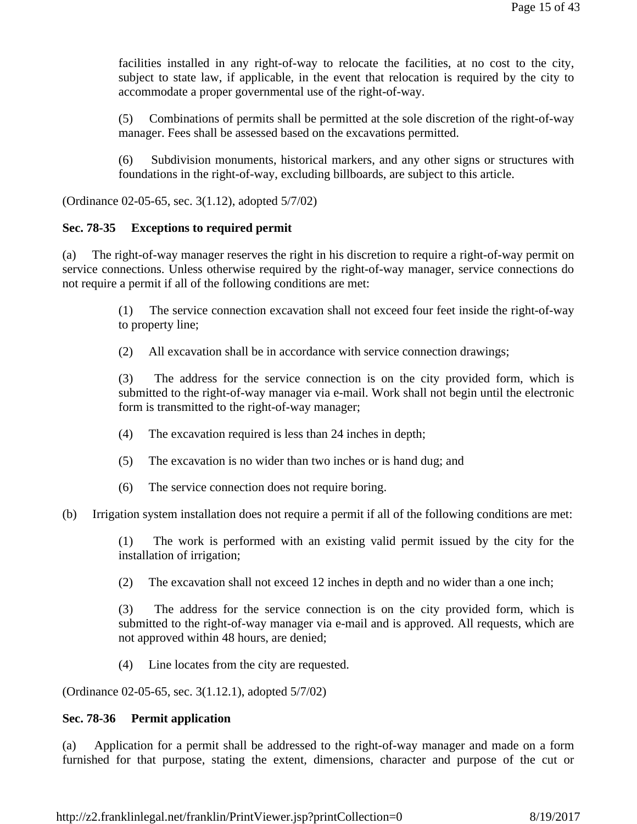facilities installed in any right-of-way to relocate the facilities, at no cost to the city, subject to state law, if applicable, in the event that relocation is required by the city to accommodate a proper governmental use of the right-of-way.

(5) Combinations of permits shall be permitted at the sole discretion of the right-of-way manager. Fees shall be assessed based on the excavations permitted.

(6) Subdivision monuments, historical markers, and any other signs or structures with foundations in the right-of-way, excluding billboards, are subject to this article.

(Ordinance 02-05-65, sec. 3(1.12), adopted 5/7/02)

#### **Sec. 78-35 Exceptions to required permit**

(a) The right-of-way manager reserves the right in his discretion to require a right-of-way permit on service connections. Unless otherwise required by the right-of-way manager, service connections do not require a permit if all of the following conditions are met:

> (1) The service connection excavation shall not exceed four feet inside the right-of-way to property line;

(2) All excavation shall be in accordance with service connection drawings;

(3) The address for the service connection is on the city provided form, which is submitted to the right-of-way manager via e-mail. Work shall not begin until the electronic form is transmitted to the right-of-way manager;

- (4) The excavation required is less than 24 inches in depth;
- (5) The excavation is no wider than two inches or is hand dug; and
- (6) The service connection does not require boring.
- (b) Irrigation system installation does not require a permit if all of the following conditions are met:

(1) The work is performed with an existing valid permit issued by the city for the installation of irrigation;

(2) The excavation shall not exceed 12 inches in depth and no wider than a one inch;

(3) The address for the service connection is on the city provided form, which is submitted to the right-of-way manager via e-mail and is approved. All requests, which are not approved within 48 hours, are denied;

(4) Line locates from the city are requested.

(Ordinance 02-05-65, sec. 3(1.12.1), adopted 5/7/02)

#### **Sec. 78-36 Permit application**

(a) Application for a permit shall be addressed to the right-of-way manager and made on a form furnished for that purpose, stating the extent, dimensions, character and purpose of the cut or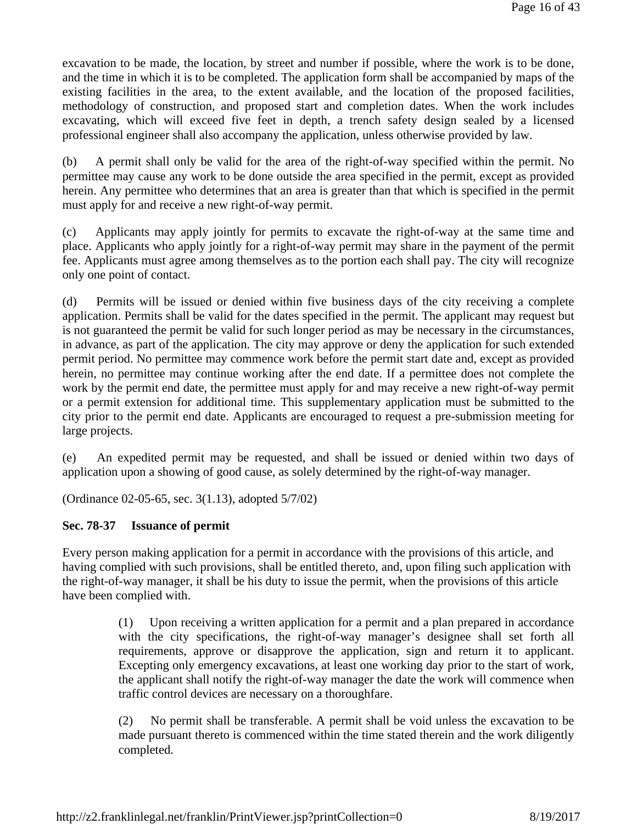excavation to be made, the location, by street and number if possible, where the work is to be done, and the time in which it is to be completed. The application form shall be accompanied by maps of the existing facilities in the area, to the extent available, and the location of the proposed facilities, methodology of construction, and proposed start and completion dates. When the work includes excavating, which will exceed five feet in depth, a trench safety design sealed by a licensed professional engineer shall also accompany the application, unless otherwise provided by law.

(b) A permit shall only be valid for the area of the right-of-way specified within the permit. No permittee may cause any work to be done outside the area specified in the permit, except as provided herein. Any permittee who determines that an area is greater than that which is specified in the permit must apply for and receive a new right-of-way permit.

(c) Applicants may apply jointly for permits to excavate the right-of-way at the same time and place. Applicants who apply jointly for a right-of-way permit may share in the payment of the permit fee. Applicants must agree among themselves as to the portion each shall pay. The city will recognize only one point of contact.

(d) Permits will be issued or denied within five business days of the city receiving a complete application. Permits shall be valid for the dates specified in the permit. The applicant may request but is not guaranteed the permit be valid for such longer period as may be necessary in the circumstances, in advance, as part of the application. The city may approve or deny the application for such extended permit period. No permittee may commence work before the permit start date and, except as provided herein, no permittee may continue working after the end date. If a permittee does not complete the work by the permit end date, the permittee must apply for and may receive a new right-of-way permit or a permit extension for additional time. This supplementary application must be submitted to the city prior to the permit end date. Applicants are encouraged to request a pre-submission meeting for large projects.

(e) An expedited permit may be requested, and shall be issued or denied within two days of application upon a showing of good cause, as solely determined by the right-of-way manager.

(Ordinance 02-05-65, sec. 3(1.13), adopted 5/7/02)

## **Sec. 78-37 Issuance of permit**

Every person making application for a permit in accordance with the provisions of this article, and having complied with such provisions, shall be entitled thereto, and, upon filing such application with the right-of-way manager, it shall be his duty to issue the permit, when the provisions of this article have been complied with.

> (1) Upon receiving a written application for a permit and a plan prepared in accordance with the city specifications, the right-of-way manager's designee shall set forth all requirements, approve or disapprove the application, sign and return it to applicant. Excepting only emergency excavations, at least one working day prior to the start of work, the applicant shall notify the right-of-way manager the date the work will commence when traffic control devices are necessary on a thoroughfare.

> (2) No permit shall be transferable. A permit shall be void unless the excavation to be made pursuant thereto is commenced within the time stated therein and the work diligently completed.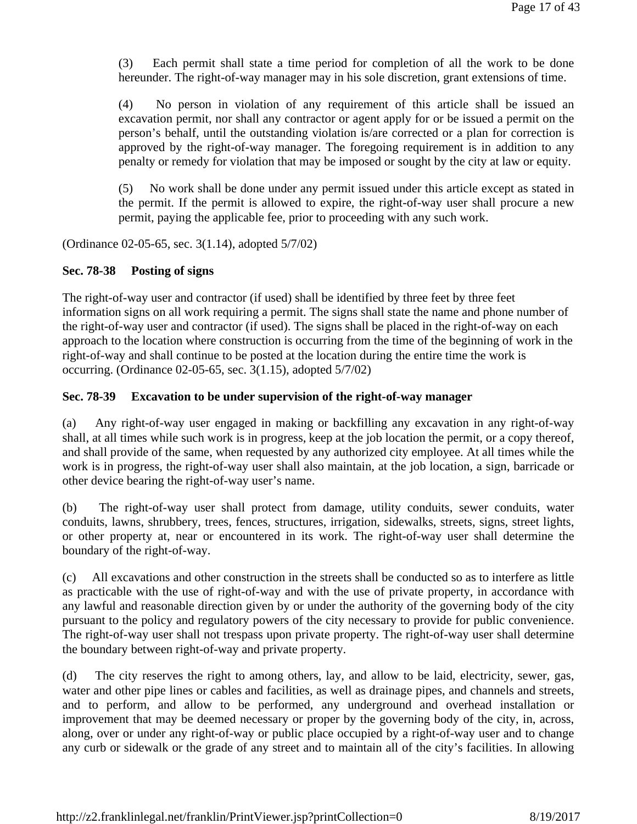(3) Each permit shall state a time period for completion of all the work to be done hereunder. The right-of-way manager may in his sole discretion, grant extensions of time.

(4) No person in violation of any requirement of this article shall be issued an excavation permit, nor shall any contractor or agent apply for or be issued a permit on the person's behalf, until the outstanding violation is/are corrected or a plan for correction is approved by the right-of-way manager. The foregoing requirement is in addition to any penalty or remedy for violation that may be imposed or sought by the city at law or equity.

(5) No work shall be done under any permit issued under this article except as stated in the permit. If the permit is allowed to expire, the right-of-way user shall procure a new permit, paying the applicable fee, prior to proceeding with any such work.

(Ordinance 02-05-65, sec. 3(1.14), adopted 5/7/02)

## **Sec. 78-38 Posting of signs**

The right-of-way user and contractor (if used) shall be identified by three feet by three feet information signs on all work requiring a permit. The signs shall state the name and phone number of the right-of-way user and contractor (if used). The signs shall be placed in the right-of-way on each approach to the location where construction is occurring from the time of the beginning of work in the right-of-way and shall continue to be posted at the location during the entire time the work is occurring. (Ordinance 02-05-65, sec. 3(1.15), adopted 5/7/02)

# **Sec. 78-39 Excavation to be under supervision of the right-of-way manager**

(a) Any right-of-way user engaged in making or backfilling any excavation in any right-of-way shall, at all times while such work is in progress, keep at the job location the permit, or a copy thereof, and shall provide of the same, when requested by any authorized city employee. At all times while the work is in progress, the right-of-way user shall also maintain, at the job location, a sign, barricade or other device bearing the right-of-way user's name.

(b) The right-of-way user shall protect from damage, utility conduits, sewer conduits, water conduits, lawns, shrubbery, trees, fences, structures, irrigation, sidewalks, streets, signs, street lights, or other property at, near or encountered in its work. The right-of-way user shall determine the boundary of the right-of-way.

(c) All excavations and other construction in the streets shall be conducted so as to interfere as little as practicable with the use of right-of-way and with the use of private property, in accordance with any lawful and reasonable direction given by or under the authority of the governing body of the city pursuant to the policy and regulatory powers of the city necessary to provide for public convenience. The right-of-way user shall not trespass upon private property. The right-of-way user shall determine the boundary between right-of-way and private property.

(d) The city reserves the right to among others, lay, and allow to be laid, electricity, sewer, gas, water and other pipe lines or cables and facilities, as well as drainage pipes, and channels and streets, and to perform, and allow to be performed, any underground and overhead installation or improvement that may be deemed necessary or proper by the governing body of the city, in, across, along, over or under any right-of-way or public place occupied by a right-of-way user and to change any curb or sidewalk or the grade of any street and to maintain all of the city's facilities. In allowing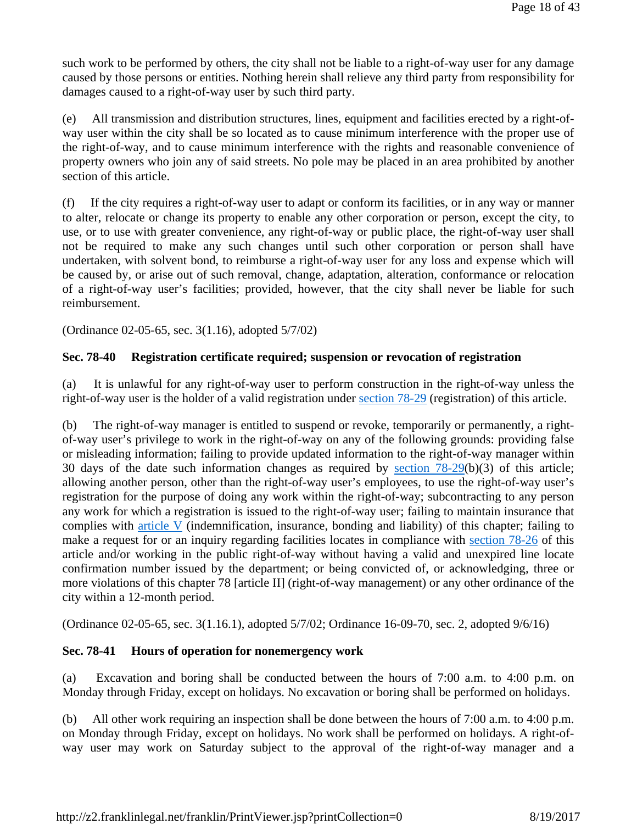such work to be performed by others, the city shall not be liable to a right-of-way user for any damage caused by those persons or entities. Nothing herein shall relieve any third party from responsibility for damages caused to a right-of-way user by such third party.

(e) All transmission and distribution structures, lines, equipment and facilities erected by a right-ofway user within the city shall be so located as to cause minimum interference with the proper use of the right-of-way, and to cause minimum interference with the rights and reasonable convenience of property owners who join any of said streets. No pole may be placed in an area prohibited by another section of this article.

(f) If the city requires a right-of-way user to adapt or conform its facilities, or in any way or manner to alter, relocate or change its property to enable any other corporation or person, except the city, to use, or to use with greater convenience, any right-of-way or public place, the right-of-way user shall not be required to make any such changes until such other corporation or person shall have undertaken, with solvent bond, to reimburse a right-of-way user for any loss and expense which will be caused by, or arise out of such removal, change, adaptation, alteration, conformance or relocation of a right-of-way user's facilities; provided, however, that the city shall never be liable for such reimbursement.

(Ordinance 02-05-65, sec. 3(1.16), adopted 5/7/02)

## **Sec. 78-40 Registration certificate required; suspension or revocation of registration**

(a) It is unlawful for any right-of-way user to perform construction in the right-of-way unless the right-of-way user is the holder of a valid registration under section 78-29 (registration) of this article.

(b) The right-of-way manager is entitled to suspend or revoke, temporarily or permanently, a rightof-way user's privilege to work in the right-of-way on any of the following grounds: providing false or misleading information; failing to provide updated information to the right-of-way manager within 30 days of the date such information changes as required by <u>section  $78-29(b)(3)$ </u> of this article; allowing another person, other than the right-of-way user's employees, to use the right-of-way user's registration for the purpose of doing any work within the right-of-way; subcontracting to any person any work for which a registration is issued to the right-of-way user; failing to maintain insurance that complies with article V (indemnification, insurance, bonding and liability) of this chapter; failing to make a request for or an inquiry regarding facilities locates in compliance with section 78-26 of this article and/or working in the public right-of-way without having a valid and unexpired line locate confirmation number issued by the department; or being convicted of, or acknowledging, three or more violations of this chapter 78 [article II] (right-of-way management) or any other ordinance of the city within a 12-month period.

(Ordinance 02-05-65, sec. 3(1.16.1), adopted 5/7/02; Ordinance 16-09-70, sec. 2, adopted 9/6/16)

## **Sec. 78-41 Hours of operation for nonemergency work**

(a) Excavation and boring shall be conducted between the hours of 7:00 a.m. to 4:00 p.m. on Monday through Friday, except on holidays. No excavation or boring shall be performed on holidays.

(b) All other work requiring an inspection shall be done between the hours of 7:00 a.m. to 4:00 p.m. on Monday through Friday, except on holidays. No work shall be performed on holidays. A right-ofway user may work on Saturday subject to the approval of the right-of-way manager and a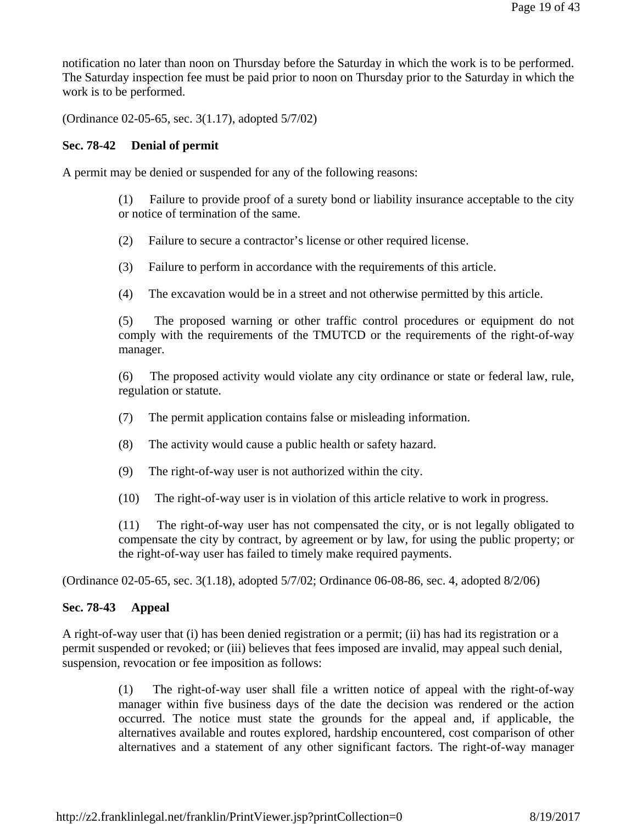notification no later than noon on Thursday before the Saturday in which the work is to be performed. The Saturday inspection fee must be paid prior to noon on Thursday prior to the Saturday in which the work is to be performed.

(Ordinance 02-05-65, sec. 3(1.17), adopted 5/7/02)

## **Sec. 78-42 Denial of permit**

A permit may be denied or suspended for any of the following reasons:

(1) Failure to provide proof of a surety bond or liability insurance acceptable to the city or notice of termination of the same.

(2) Failure to secure a contractor's license or other required license.

(3) Failure to perform in accordance with the requirements of this article.

(4) The excavation would be in a street and not otherwise permitted by this article.

(5) The proposed warning or other traffic control procedures or equipment do not comply with the requirements of the TMUTCD or the requirements of the right-of-way manager.

(6) The proposed activity would violate any city ordinance or state or federal law, rule, regulation or statute.

- (7) The permit application contains false or misleading information.
- (8) The activity would cause a public health or safety hazard.
- (9) The right-of-way user is not authorized within the city.

(10) The right-of-way user is in violation of this article relative to work in progress.

(11) The right-of-way user has not compensated the city, or is not legally obligated to compensate the city by contract, by agreement or by law, for using the public property; or the right-of-way user has failed to timely make required payments.

(Ordinance 02-05-65, sec. 3(1.18), adopted 5/7/02; Ordinance 06-08-86, sec. 4, adopted 8/2/06)

## **Sec. 78-43 Appeal**

A right-of-way user that (i) has been denied registration or a permit; (ii) has had its registration or a permit suspended or revoked; or (iii) believes that fees imposed are invalid, may appeal such denial, suspension, revocation or fee imposition as follows:

> (1) The right-of-way user shall file a written notice of appeal with the right-of-way manager within five business days of the date the decision was rendered or the action occurred. The notice must state the grounds for the appeal and, if applicable, the alternatives available and routes explored, hardship encountered, cost comparison of other alternatives and a statement of any other significant factors. The right-of-way manager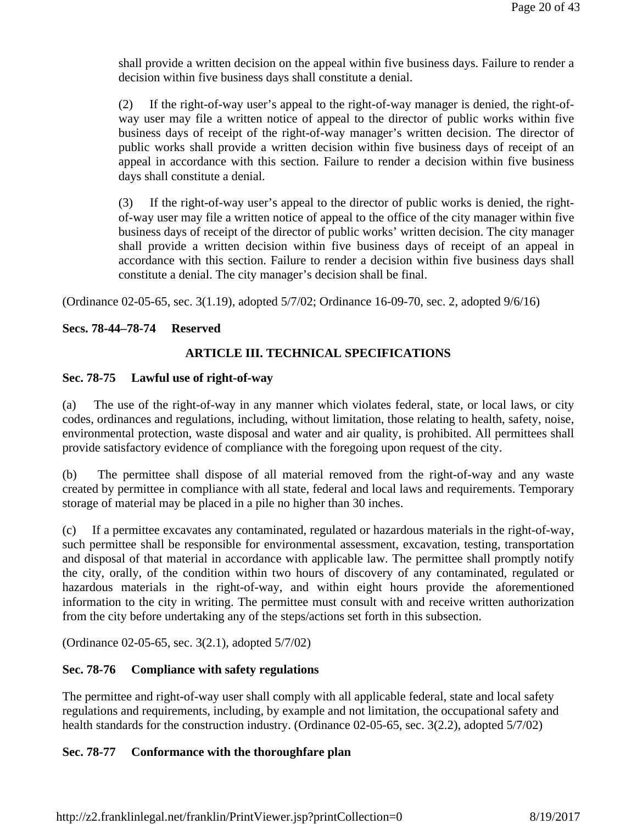shall provide a written decision on the appeal within five business days. Failure to render a decision within five business days shall constitute a denial.

(2) If the right-of-way user's appeal to the right-of-way manager is denied, the right-ofway user may file a written notice of appeal to the director of public works within five business days of receipt of the right-of-way manager's written decision. The director of public works shall provide a written decision within five business days of receipt of an appeal in accordance with this section. Failure to render a decision within five business days shall constitute a denial.

(3) If the right-of-way user's appeal to the director of public works is denied, the rightof-way user may file a written notice of appeal to the office of the city manager within five business days of receipt of the director of public works' written decision. The city manager shall provide a written decision within five business days of receipt of an appeal in accordance with this section. Failure to render a decision within five business days shall constitute a denial. The city manager's decision shall be final.

(Ordinance 02-05-65, sec. 3(1.19), adopted 5/7/02; Ordinance 16-09-70, sec. 2, adopted 9/6/16)

# **Secs. 78-44–78-74 Reserved**

# **ARTICLE III. TECHNICAL SPECIFICATIONS**

## **Sec. 78-75 Lawful use of right-of-way**

(a) The use of the right-of-way in any manner which violates federal, state, or local laws, or city codes, ordinances and regulations, including, without limitation, those relating to health, safety, noise, environmental protection, waste disposal and water and air quality, is prohibited. All permittees shall provide satisfactory evidence of compliance with the foregoing upon request of the city.

(b) The permittee shall dispose of all material removed from the right-of-way and any waste created by permittee in compliance with all state, federal and local laws and requirements. Temporary storage of material may be placed in a pile no higher than 30 inches.

(c) If a permittee excavates any contaminated, regulated or hazardous materials in the right-of-way, such permittee shall be responsible for environmental assessment, excavation, testing, transportation and disposal of that material in accordance with applicable law. The permittee shall promptly notify the city, orally, of the condition within two hours of discovery of any contaminated, regulated or hazardous materials in the right-of-way, and within eight hours provide the aforementioned information to the city in writing. The permittee must consult with and receive written authorization from the city before undertaking any of the steps/actions set forth in this subsection.

(Ordinance 02-05-65, sec. 3(2.1), adopted 5/7/02)

# **Sec. 78-76 Compliance with safety regulations**

The permittee and right-of-way user shall comply with all applicable federal, state and local safety regulations and requirements, including, by example and not limitation, the occupational safety and health standards for the construction industry. (Ordinance 02-05-65, sec. 3(2.2), adopted 5/7/02)

# **Sec. 78-77 Conformance with the thoroughfare plan**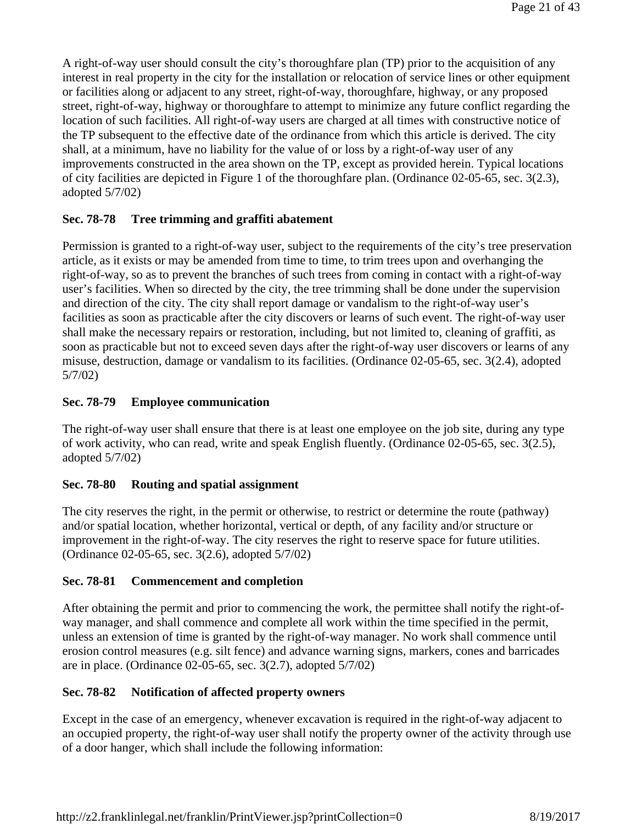A right-of-way user should consult the city's thoroughfare plan (TP) prior to the acquisition of any interest in real property in the city for the installation or relocation of service lines or other equipment or facilities along or adjacent to any street, right-of-way, thoroughfare, highway, or any proposed street, right-of-way, highway or thoroughfare to attempt to minimize any future conflict regarding the location of such facilities. All right-of-way users are charged at all times with constructive notice of the TP subsequent to the effective date of the ordinance from which this article is derived. The city shall, at a minimum, have no liability for the value of or loss by a right-of-way user of any improvements constructed in the area shown on the TP, except as provided herein. Typical locations of city facilities are depicted in Figure 1 of the thoroughfare plan. (Ordinance 02-05-65, sec. 3(2.3), adopted 5/7/02)

# **Sec. 78-78 Tree trimming and graffiti abatement**

Permission is granted to a right-of-way user, subject to the requirements of the city's tree preservation article, as it exists or may be amended from time to time, to trim trees upon and overhanging the right-of-way, so as to prevent the branches of such trees from coming in contact with a right-of-way user's facilities. When so directed by the city, the tree trimming shall be done under the supervision and direction of the city. The city shall report damage or vandalism to the right-of-way user's facilities as soon as practicable after the city discovers or learns of such event. The right-of-way user shall make the necessary repairs or restoration, including, but not limited to, cleaning of graffiti, as soon as practicable but not to exceed seven days after the right-of-way user discovers or learns of any misuse, destruction, damage or vandalism to its facilities. (Ordinance 02-05-65, sec. 3(2.4), adopted 5/7/02)

# **Sec. 78-79 Employee communication**

The right-of-way user shall ensure that there is at least one employee on the job site, during any type of work activity, who can read, write and speak English fluently. (Ordinance 02-05-65, sec. 3(2.5), adopted 5/7/02)

## **Sec. 78-80 Routing and spatial assignment**

The city reserves the right, in the permit or otherwise, to restrict or determine the route (pathway) and/or spatial location, whether horizontal, vertical or depth, of any facility and/or structure or improvement in the right-of-way. The city reserves the right to reserve space for future utilities. (Ordinance 02-05-65, sec. 3(2.6), adopted 5/7/02)

## **Sec. 78-81 Commencement and completion**

After obtaining the permit and prior to commencing the work, the permittee shall notify the right-ofway manager, and shall commence and complete all work within the time specified in the permit, unless an extension of time is granted by the right-of-way manager. No work shall commence until erosion control measures (e.g. silt fence) and advance warning signs, markers, cones and barricades are in place. (Ordinance 02-05-65, sec. 3(2.7), adopted 5/7/02)

# **Sec. 78-82 Notification of affected property owners**

Except in the case of an emergency, whenever excavation is required in the right-of-way adjacent to an occupied property, the right-of-way user shall notify the property owner of the activity through use of a door hanger, which shall include the following information: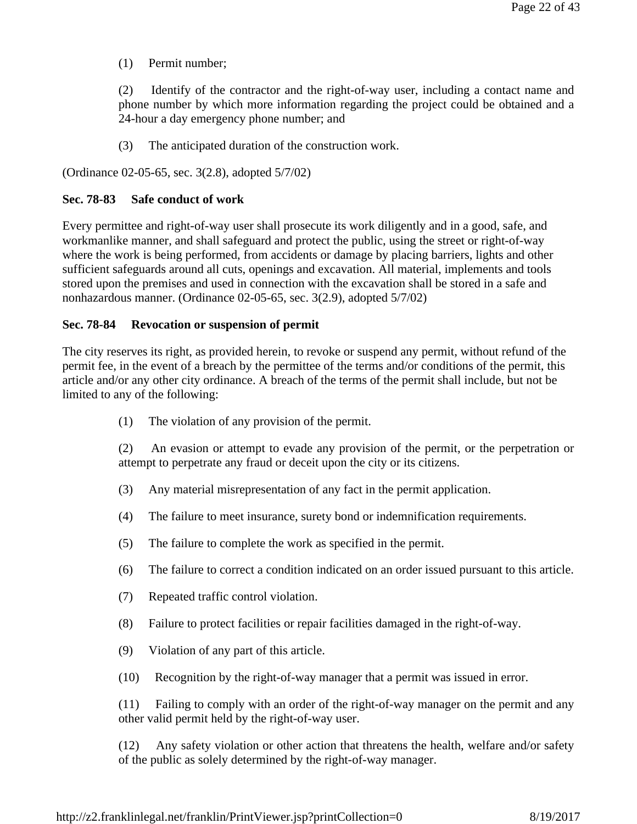(1) Permit number;

(2) Identify of the contractor and the right-of-way user, including a contact name and phone number by which more information regarding the project could be obtained and a 24-hour a day emergency phone number; and

(3) The anticipated duration of the construction work.

(Ordinance 02-05-65, sec. 3(2.8), adopted 5/7/02)

## **Sec. 78-83 Safe conduct of work**

Every permittee and right-of-way user shall prosecute its work diligently and in a good, safe, and workmanlike manner, and shall safeguard and protect the public, using the street or right-of-way where the work is being performed, from accidents or damage by placing barriers, lights and other sufficient safeguards around all cuts, openings and excavation. All material, implements and tools stored upon the premises and used in connection with the excavation shall be stored in a safe and nonhazardous manner. (Ordinance 02-05-65, sec. 3(2.9), adopted 5/7/02)

## **Sec. 78-84 Revocation or suspension of permit**

The city reserves its right, as provided herein, to revoke or suspend any permit, without refund of the permit fee, in the event of a breach by the permittee of the terms and/or conditions of the permit, this article and/or any other city ordinance. A breach of the terms of the permit shall include, but not be limited to any of the following:

(1) The violation of any provision of the permit.

(2) An evasion or attempt to evade any provision of the permit, or the perpetration or attempt to perpetrate any fraud or deceit upon the city or its citizens.

- (3) Any material misrepresentation of any fact in the permit application.
- (4) The failure to meet insurance, surety bond or indemnification requirements.
- (5) The failure to complete the work as specified in the permit.
- (6) The failure to correct a condition indicated on an order issued pursuant to this article.
- (7) Repeated traffic control violation.
- (8) Failure to protect facilities or repair facilities damaged in the right-of-way.
- (9) Violation of any part of this article.
- (10) Recognition by the right-of-way manager that a permit was issued in error.

(11) Failing to comply with an order of the right-of-way manager on the permit and any other valid permit held by the right-of-way user.

(12) Any safety violation or other action that threatens the health, welfare and/or safety of the public as solely determined by the right-of-way manager.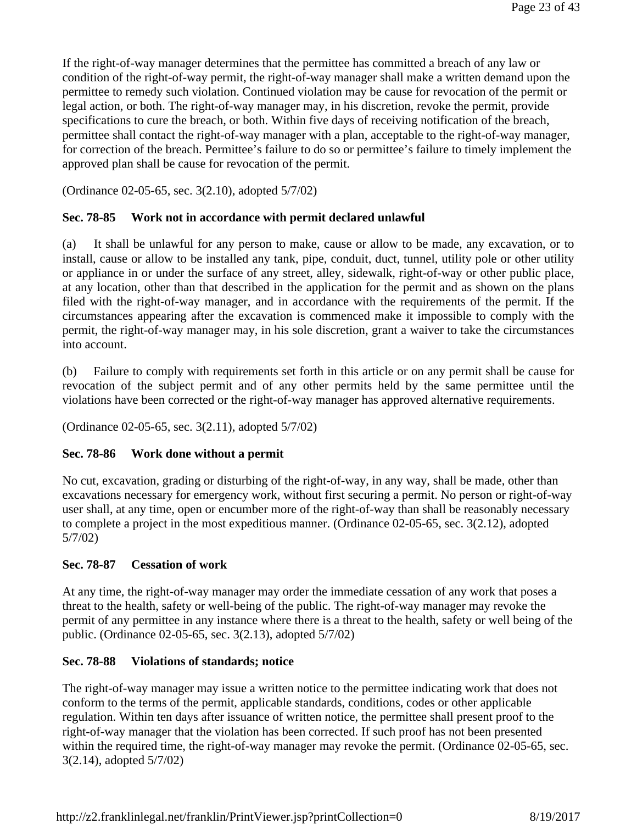If the right-of-way manager determines that the permittee has committed a breach of any law or condition of the right-of-way permit, the right-of-way manager shall make a written demand upon the permittee to remedy such violation. Continued violation may be cause for revocation of the permit or legal action, or both. The right-of-way manager may, in his discretion, revoke the permit, provide specifications to cure the breach, or both. Within five days of receiving notification of the breach, permittee shall contact the right-of-way manager with a plan, acceptable to the right-of-way manager, for correction of the breach. Permittee's failure to do so or permittee's failure to timely implement the approved plan shall be cause for revocation of the permit.

(Ordinance 02-05-65, sec. 3(2.10), adopted 5/7/02)

## **Sec. 78-85 Work not in accordance with permit declared unlawful**

(a) It shall be unlawful for any person to make, cause or allow to be made, any excavation, or to install, cause or allow to be installed any tank, pipe, conduit, duct, tunnel, utility pole or other utility or appliance in or under the surface of any street, alley, sidewalk, right-of-way or other public place, at any location, other than that described in the application for the permit and as shown on the plans filed with the right-of-way manager, and in accordance with the requirements of the permit. If the circumstances appearing after the excavation is commenced make it impossible to comply with the permit, the right-of-way manager may, in his sole discretion, grant a waiver to take the circumstances into account.

(b) Failure to comply with requirements set forth in this article or on any permit shall be cause for revocation of the subject permit and of any other permits held by the same permittee until the violations have been corrected or the right-of-way manager has approved alternative requirements.

(Ordinance 02-05-65, sec. 3(2.11), adopted 5/7/02)

## **Sec. 78-86 Work done without a permit**

No cut, excavation, grading or disturbing of the right-of-way, in any way, shall be made, other than excavations necessary for emergency work, without first securing a permit. No person or right-of-way user shall, at any time, open or encumber more of the right-of-way than shall be reasonably necessary to complete a project in the most expeditious manner. (Ordinance 02-05-65, sec. 3(2.12), adopted 5/7/02)

## **Sec. 78-87 Cessation of work**

At any time, the right-of-way manager may order the immediate cessation of any work that poses a threat to the health, safety or well-being of the public. The right-of-way manager may revoke the permit of any permittee in any instance where there is a threat to the health, safety or well being of the public. (Ordinance 02-05-65, sec. 3(2.13), adopted 5/7/02)

#### **Sec. 78-88 Violations of standards; notice**

The right-of-way manager may issue a written notice to the permittee indicating work that does not conform to the terms of the permit, applicable standards, conditions, codes or other applicable regulation. Within ten days after issuance of written notice, the permittee shall present proof to the right-of-way manager that the violation has been corrected. If such proof has not been presented within the required time, the right-of-way manager may revoke the permit. (Ordinance 02-05-65, sec. 3(2.14), adopted 5/7/02)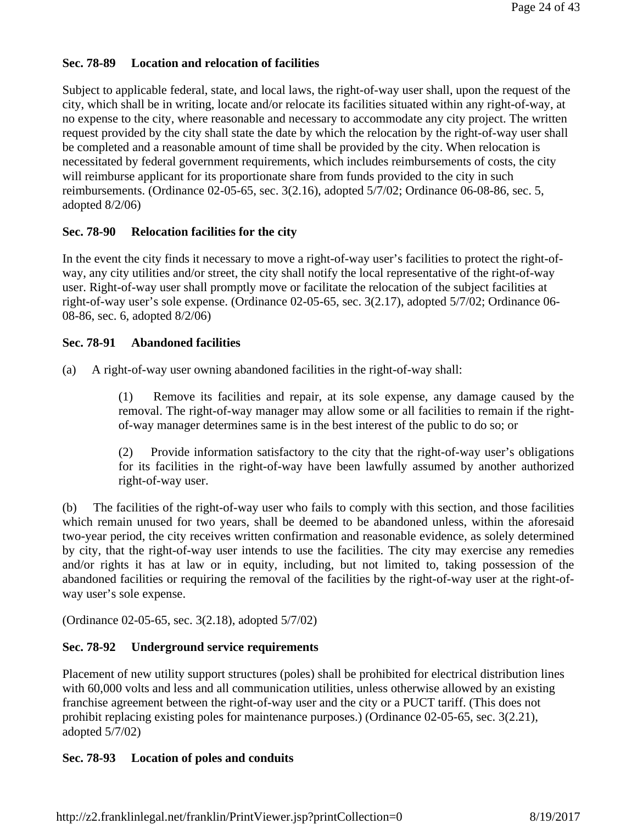# **Sec. 78-89 Location and relocation of facilities**

Subject to applicable federal, state, and local laws, the right-of-way user shall, upon the request of the city, which shall be in writing, locate and/or relocate its facilities situated within any right-of-way, at no expense to the city, where reasonable and necessary to accommodate any city project. The written request provided by the city shall state the date by which the relocation by the right-of-way user shall be completed and a reasonable amount of time shall be provided by the city. When relocation is necessitated by federal government requirements, which includes reimbursements of costs, the city will reimburse applicant for its proportionate share from funds provided to the city in such reimbursements. (Ordinance 02-05-65, sec. 3(2.16), adopted 5/7/02; Ordinance 06-08-86, sec. 5, adopted 8/2/06)

# **Sec. 78-90 Relocation facilities for the city**

In the event the city finds it necessary to move a right-of-way user's facilities to protect the right-ofway, any city utilities and/or street, the city shall notify the local representative of the right-of-way user. Right-of-way user shall promptly move or facilitate the relocation of the subject facilities at right-of-way user's sole expense. (Ordinance 02-05-65, sec. 3(2.17), adopted 5/7/02; Ordinance 06- 08-86, sec. 6, adopted 8/2/06)

## **Sec. 78-91 Abandoned facilities**

(a) A right-of-way user owning abandoned facilities in the right-of-way shall:

(1) Remove its facilities and repair, at its sole expense, any damage caused by the removal. The right-of-way manager may allow some or all facilities to remain if the rightof-way manager determines same is in the best interest of the public to do so; or

(2) Provide information satisfactory to the city that the right-of-way user's obligations for its facilities in the right-of-way have been lawfully assumed by another authorized right-of-way user.

(b) The facilities of the right-of-way user who fails to comply with this section, and those facilities which remain unused for two years, shall be deemed to be abandoned unless, within the aforesaid two-year period, the city receives written confirmation and reasonable evidence, as solely determined by city, that the right-of-way user intends to use the facilities. The city may exercise any remedies and/or rights it has at law or in equity, including, but not limited to, taking possession of the abandoned facilities or requiring the removal of the facilities by the right-of-way user at the right-ofway user's sole expense.

(Ordinance 02-05-65, sec. 3(2.18), adopted 5/7/02)

# **Sec. 78-92 Underground service requirements**

Placement of new utility support structures (poles) shall be prohibited for electrical distribution lines with 60,000 volts and less and all communication utilities, unless otherwise allowed by an existing franchise agreement between the right-of-way user and the city or a PUCT tariff. (This does not prohibit replacing existing poles for maintenance purposes.) (Ordinance 02-05-65, sec. 3(2.21), adopted 5/7/02)

# **Sec. 78-93 Location of poles and conduits**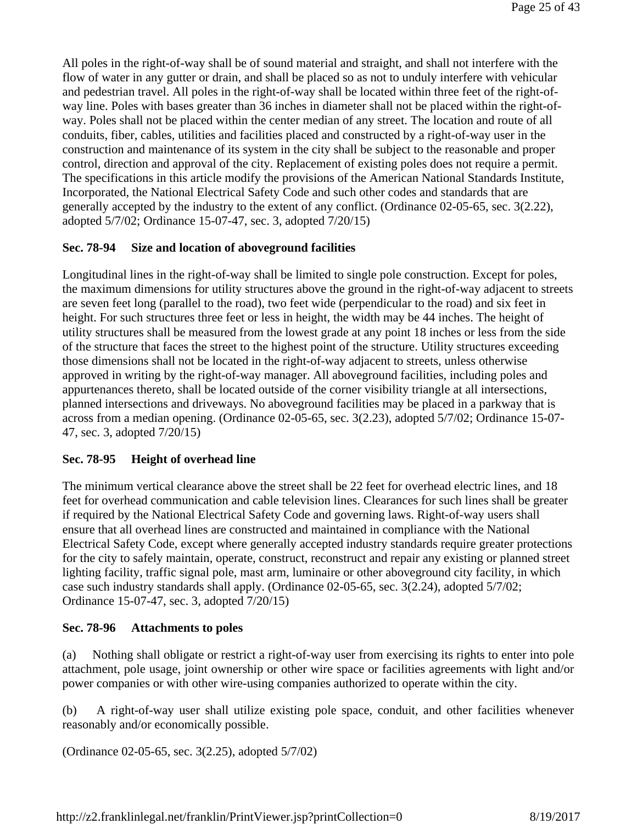All poles in the right-of-way shall be of sound material and straight, and shall not interfere with the flow of water in any gutter or drain, and shall be placed so as not to unduly interfere with vehicular and pedestrian travel. All poles in the right-of-way shall be located within three feet of the right-ofway line. Poles with bases greater than 36 inches in diameter shall not be placed within the right-ofway. Poles shall not be placed within the center median of any street. The location and route of all conduits, fiber, cables, utilities and facilities placed and constructed by a right-of-way user in the construction and maintenance of its system in the city shall be subject to the reasonable and proper control, direction and approval of the city. Replacement of existing poles does not require a permit. The specifications in this article modify the provisions of the American National Standards Institute, Incorporated, the National Electrical Safety Code and such other codes and standards that are generally accepted by the industry to the extent of any conflict. (Ordinance 02-05-65, sec. 3(2.22), adopted 5/7/02; Ordinance 15-07-47, sec. 3, adopted 7/20/15)

# **Sec. 78-94 Size and location of aboveground facilities**

Longitudinal lines in the right-of-way shall be limited to single pole construction. Except for poles, the maximum dimensions for utility structures above the ground in the right-of-way adjacent to streets are seven feet long (parallel to the road), two feet wide (perpendicular to the road) and six feet in height. For such structures three feet or less in height, the width may be 44 inches. The height of utility structures shall be measured from the lowest grade at any point 18 inches or less from the side of the structure that faces the street to the highest point of the structure. Utility structures exceeding those dimensions shall not be located in the right-of-way adjacent to streets, unless otherwise approved in writing by the right-of-way manager. All aboveground facilities, including poles and appurtenances thereto, shall be located outside of the corner visibility triangle at all intersections, planned intersections and driveways. No aboveground facilities may be placed in a parkway that is across from a median opening. (Ordinance 02-05-65, sec. 3(2.23), adopted 5/7/02; Ordinance 15-07- 47, sec. 3, adopted 7/20/15)

## **Sec. 78-95 Height of overhead line**

The minimum vertical clearance above the street shall be 22 feet for overhead electric lines, and 18 feet for overhead communication and cable television lines. Clearances for such lines shall be greater if required by the National Electrical Safety Code and governing laws. Right-of-way users shall ensure that all overhead lines are constructed and maintained in compliance with the National Electrical Safety Code, except where generally accepted industry standards require greater protections for the city to safely maintain, operate, construct, reconstruct and repair any existing or planned street lighting facility, traffic signal pole, mast arm, luminaire or other aboveground city facility, in which case such industry standards shall apply. (Ordinance 02-05-65, sec. 3(2.24), adopted 5/7/02; Ordinance 15-07-47, sec. 3, adopted 7/20/15)

## **Sec. 78-96 Attachments to poles**

(a) Nothing shall obligate or restrict a right-of-way user from exercising its rights to enter into pole attachment, pole usage, joint ownership or other wire space or facilities agreements with light and/or power companies or with other wire-using companies authorized to operate within the city.

(b) A right-of-way user shall utilize existing pole space, conduit, and other facilities whenever reasonably and/or economically possible.

(Ordinance 02-05-65, sec. 3(2.25), adopted 5/7/02)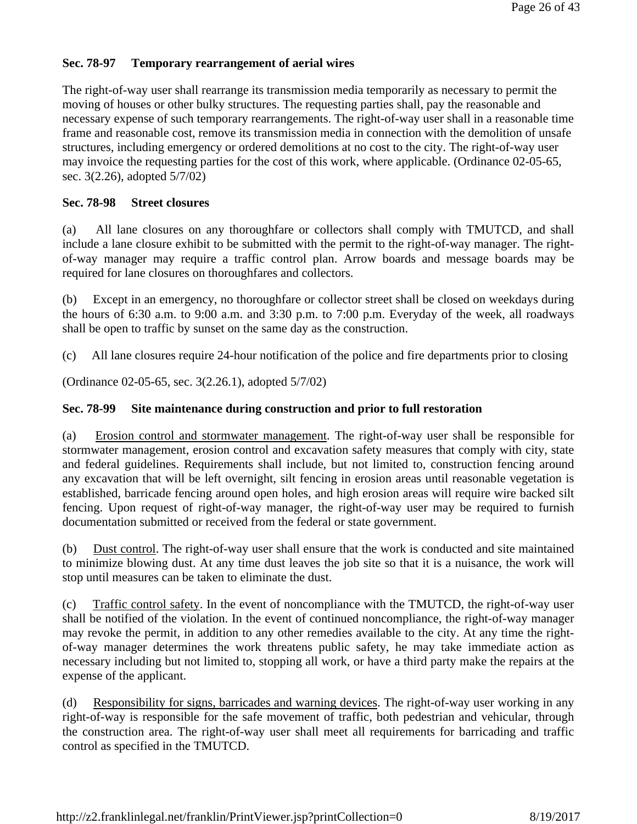# **Sec. 78-97 Temporary rearrangement of aerial wires**

The right-of-way user shall rearrange its transmission media temporarily as necessary to permit the moving of houses or other bulky structures. The requesting parties shall, pay the reasonable and necessary expense of such temporary rearrangements. The right-of-way user shall in a reasonable time frame and reasonable cost, remove its transmission media in connection with the demolition of unsafe structures, including emergency or ordered demolitions at no cost to the city. The right-of-way user may invoice the requesting parties for the cost of this work, where applicable. (Ordinance 02-05-65, sec. 3(2.26), adopted 5/7/02)

## **Sec. 78-98 Street closures**

(a) All lane closures on any thoroughfare or collectors shall comply with TMUTCD, and shall include a lane closure exhibit to be submitted with the permit to the right-of-way manager. The rightof-way manager may require a traffic control plan. Arrow boards and message boards may be required for lane closures on thoroughfares and collectors.

(b) Except in an emergency, no thoroughfare or collector street shall be closed on weekdays during the hours of 6:30 a.m. to 9:00 a.m. and 3:30 p.m. to 7:00 p.m. Everyday of the week, all roadways shall be open to traffic by sunset on the same day as the construction.

(c) All lane closures require 24-hour notification of the police and fire departments prior to closing

(Ordinance 02-05-65, sec. 3(2.26.1), adopted 5/7/02)

## **Sec. 78-99 Site maintenance during construction and prior to full restoration**

(a) Erosion control and stormwater management. The right-of-way user shall be responsible for stormwater management, erosion control and excavation safety measures that comply with city, state and federal guidelines. Requirements shall include, but not limited to, construction fencing around any excavation that will be left overnight, silt fencing in erosion areas until reasonable vegetation is established, barricade fencing around open holes, and high erosion areas will require wire backed silt fencing. Upon request of right-of-way manager, the right-of-way user may be required to furnish documentation submitted or received from the federal or state government.

(b) Dust control. The right-of-way user shall ensure that the work is conducted and site maintained to minimize blowing dust. At any time dust leaves the job site so that it is a nuisance, the work will stop until measures can be taken to eliminate the dust.

(c) Traffic control safety. In the event of noncompliance with the TMUTCD, the right-of-way user shall be notified of the violation. In the event of continued noncompliance, the right-of-way manager may revoke the permit, in addition to any other remedies available to the city. At any time the rightof-way manager determines the work threatens public safety, he may take immediate action as necessary including but not limited to, stopping all work, or have a third party make the repairs at the expense of the applicant.

(d) Responsibility for signs, barricades and warning devices. The right-of-way user working in any right-of-way is responsible for the safe movement of traffic, both pedestrian and vehicular, through the construction area. The right-of-way user shall meet all requirements for barricading and traffic control as specified in the TMUTCD.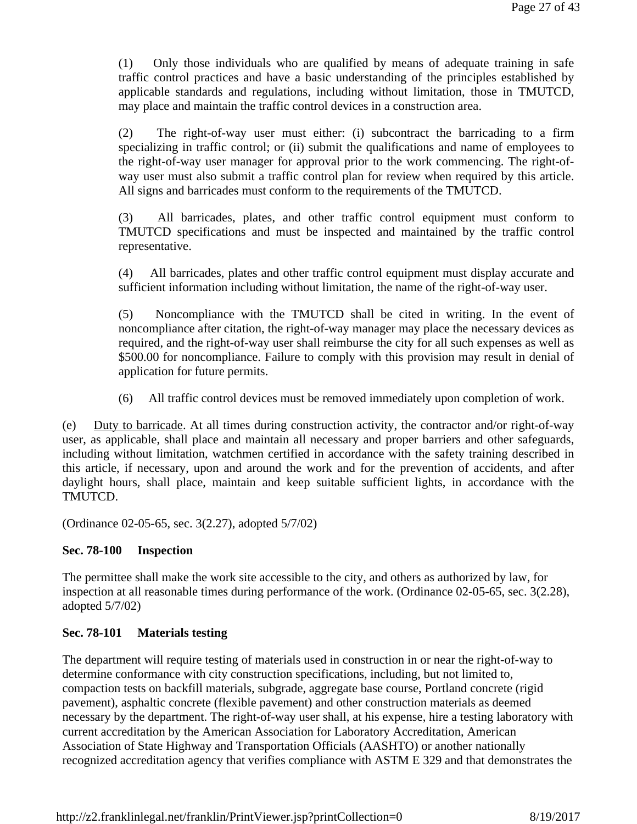(1) Only those individuals who are qualified by means of adequate training in safe traffic control practices and have a basic understanding of the principles established by applicable standards and regulations, including without limitation, those in TMUTCD, may place and maintain the traffic control devices in a construction area.

(2) The right-of-way user must either: (i) subcontract the barricading to a firm specializing in traffic control; or (ii) submit the qualifications and name of employees to the right-of-way user manager for approval prior to the work commencing. The right-ofway user must also submit a traffic control plan for review when required by this article. All signs and barricades must conform to the requirements of the TMUTCD.

(3) All barricades, plates, and other traffic control equipment must conform to TMUTCD specifications and must be inspected and maintained by the traffic control representative.

(4) All barricades, plates and other traffic control equipment must display accurate and sufficient information including without limitation, the name of the right-of-way user.

(5) Noncompliance with the TMUTCD shall be cited in writing. In the event of noncompliance after citation, the right-of-way manager may place the necessary devices as required, and the right-of-way user shall reimburse the city for all such expenses as well as \$500.00 for noncompliance. Failure to comply with this provision may result in denial of application for future permits.

(6) All traffic control devices must be removed immediately upon completion of work.

(e) Duty to barricade. At all times during construction activity, the contractor and/or right-of-way user, as applicable, shall place and maintain all necessary and proper barriers and other safeguards, including without limitation, watchmen certified in accordance with the safety training described in this article, if necessary, upon and around the work and for the prevention of accidents, and after daylight hours, shall place, maintain and keep suitable sufficient lights, in accordance with the TMUTCD.

(Ordinance 02-05-65, sec. 3(2.27), adopted 5/7/02)

## **Sec. 78-100 Inspection**

The permittee shall make the work site accessible to the city, and others as authorized by law, for inspection at all reasonable times during performance of the work. (Ordinance 02-05-65, sec. 3(2.28), adopted 5/7/02)

# **Sec. 78-101 Materials testing**

The department will require testing of materials used in construction in or near the right-of-way to determine conformance with city construction specifications, including, but not limited to, compaction tests on backfill materials, subgrade, aggregate base course, Portland concrete (rigid pavement), asphaltic concrete (flexible pavement) and other construction materials as deemed necessary by the department. The right-of-way user shall, at his expense, hire a testing laboratory with current accreditation by the American Association for Laboratory Accreditation, American Association of State Highway and Transportation Officials (AASHTO) or another nationally recognized accreditation agency that verifies compliance with ASTM E 329 and that demonstrates the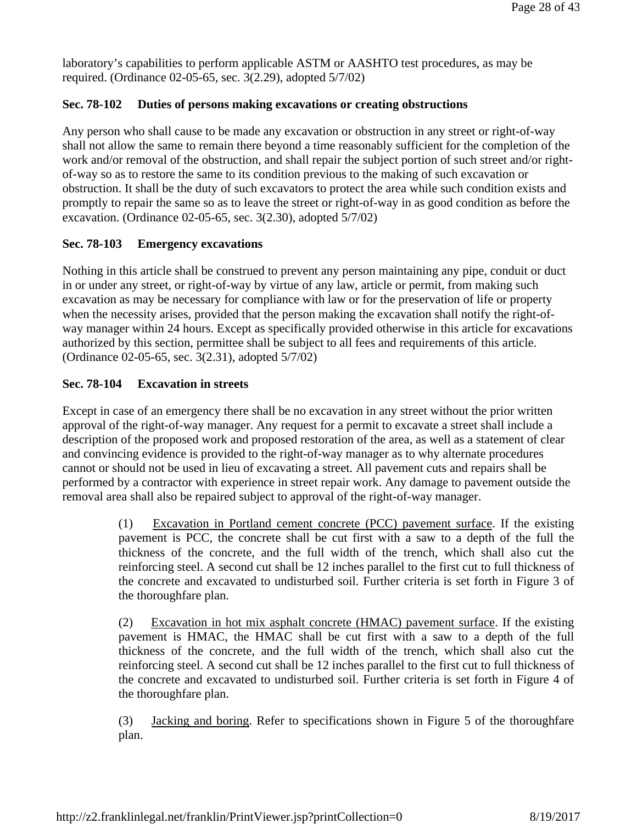laboratory's capabilities to perform applicable ASTM or AASHTO test procedures, as may be required. (Ordinance 02-05-65, sec. 3(2.29), adopted 5/7/02)

# **Sec. 78-102 Duties of persons making excavations or creating obstructions**

Any person who shall cause to be made any excavation or obstruction in any street or right-of-way shall not allow the same to remain there beyond a time reasonably sufficient for the completion of the work and/or removal of the obstruction, and shall repair the subject portion of such street and/or rightof-way so as to restore the same to its condition previous to the making of such excavation or obstruction. It shall be the duty of such excavators to protect the area while such condition exists and promptly to repair the same so as to leave the street or right-of-way in as good condition as before the excavation. (Ordinance 02-05-65, sec. 3(2.30), adopted 5/7/02)

# **Sec. 78-103 Emergency excavations**

Nothing in this article shall be construed to prevent any person maintaining any pipe, conduit or duct in or under any street, or right-of-way by virtue of any law, article or permit, from making such excavation as may be necessary for compliance with law or for the preservation of life or property when the necessity arises, provided that the person making the excavation shall notify the right-ofway manager within 24 hours. Except as specifically provided otherwise in this article for excavations authorized by this section, permittee shall be subject to all fees and requirements of this article. (Ordinance 02-05-65, sec. 3(2.31), adopted 5/7/02)

# **Sec. 78-104 Excavation in streets**

Except in case of an emergency there shall be no excavation in any street without the prior written approval of the right-of-way manager. Any request for a permit to excavate a street shall include a description of the proposed work and proposed restoration of the area, as well as a statement of clear and convincing evidence is provided to the right-of-way manager as to why alternate procedures cannot or should not be used in lieu of excavating a street. All pavement cuts and repairs shall be performed by a contractor with experience in street repair work. Any damage to pavement outside the removal area shall also be repaired subject to approval of the right-of-way manager.

> (1) Excavation in Portland cement concrete (PCC) pavement surface. If the existing pavement is PCC, the concrete shall be cut first with a saw to a depth of the full the thickness of the concrete, and the full width of the trench, which shall also cut the reinforcing steel. A second cut shall be 12 inches parallel to the first cut to full thickness of the concrete and excavated to undisturbed soil. Further criteria is set forth in Figure 3 of the thoroughfare plan.

> (2) Excavation in hot mix asphalt concrete (HMAC) pavement surface. If the existing pavement is HMAC, the HMAC shall be cut first with a saw to a depth of the full thickness of the concrete, and the full width of the trench, which shall also cut the reinforcing steel. A second cut shall be 12 inches parallel to the first cut to full thickness of the concrete and excavated to undisturbed soil. Further criteria is set forth in Figure 4 of the thoroughfare plan.

> (3) Jacking and boring. Refer to specifications shown in Figure 5 of the thoroughfare plan.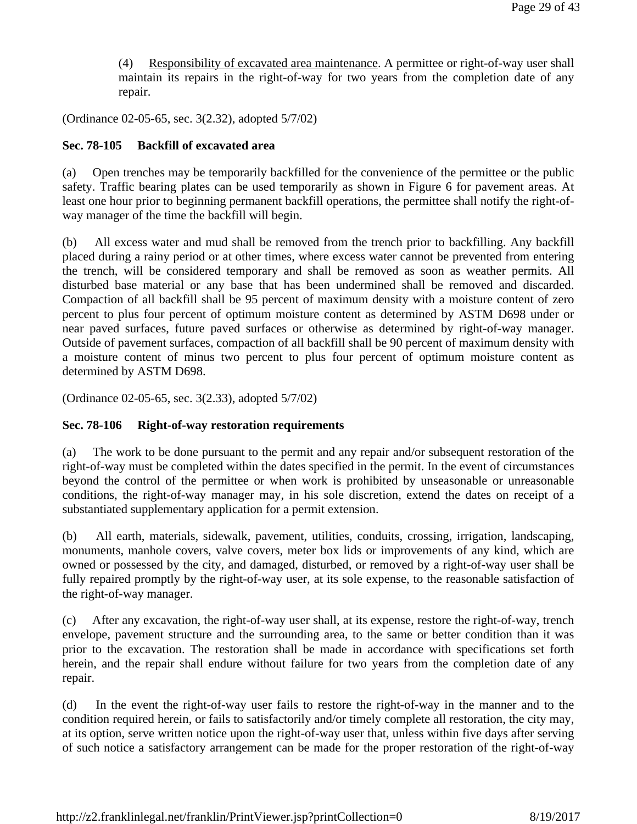(4) Responsibility of excavated area maintenance. A permittee or right-of-way user shall maintain its repairs in the right-of-way for two years from the completion date of any repair.

(Ordinance 02-05-65, sec. 3(2.32), adopted 5/7/02)

# **Sec. 78-105 Backfill of excavated area**

(a) Open trenches may be temporarily backfilled for the convenience of the permittee or the public safety. Traffic bearing plates can be used temporarily as shown in Figure 6 for pavement areas. At least one hour prior to beginning permanent backfill operations, the permittee shall notify the right-ofway manager of the time the backfill will begin.

(b) All excess water and mud shall be removed from the trench prior to backfilling. Any backfill placed during a rainy period or at other times, where excess water cannot be prevented from entering the trench, will be considered temporary and shall be removed as soon as weather permits. All disturbed base material or any base that has been undermined shall be removed and discarded. Compaction of all backfill shall be 95 percent of maximum density with a moisture content of zero percent to plus four percent of optimum moisture content as determined by ASTM D698 under or near paved surfaces, future paved surfaces or otherwise as determined by right-of-way manager. Outside of pavement surfaces, compaction of all backfill shall be 90 percent of maximum density with a moisture content of minus two percent to plus four percent of optimum moisture content as determined by ASTM D698.

(Ordinance 02-05-65, sec. 3(2.33), adopted 5/7/02)

## **Sec. 78-106 Right-of-way restoration requirements**

(a) The work to be done pursuant to the permit and any repair and/or subsequent restoration of the right-of-way must be completed within the dates specified in the permit. In the event of circumstances beyond the control of the permittee or when work is prohibited by unseasonable or unreasonable conditions, the right-of-way manager may, in his sole discretion, extend the dates on receipt of a substantiated supplementary application for a permit extension.

(b) All earth, materials, sidewalk, pavement, utilities, conduits, crossing, irrigation, landscaping, monuments, manhole covers, valve covers, meter box lids or improvements of any kind, which are owned or possessed by the city, and damaged, disturbed, or removed by a right-of-way user shall be fully repaired promptly by the right-of-way user, at its sole expense, to the reasonable satisfaction of the right-of-way manager.

(c) After any excavation, the right-of-way user shall, at its expense, restore the right-of-way, trench envelope, pavement structure and the surrounding area, to the same or better condition than it was prior to the excavation. The restoration shall be made in accordance with specifications set forth herein, and the repair shall endure without failure for two years from the completion date of any repair.

(d) In the event the right-of-way user fails to restore the right-of-way in the manner and to the condition required herein, or fails to satisfactorily and/or timely complete all restoration, the city may, at its option, serve written notice upon the right-of-way user that, unless within five days after serving of such notice a satisfactory arrangement can be made for the proper restoration of the right-of-way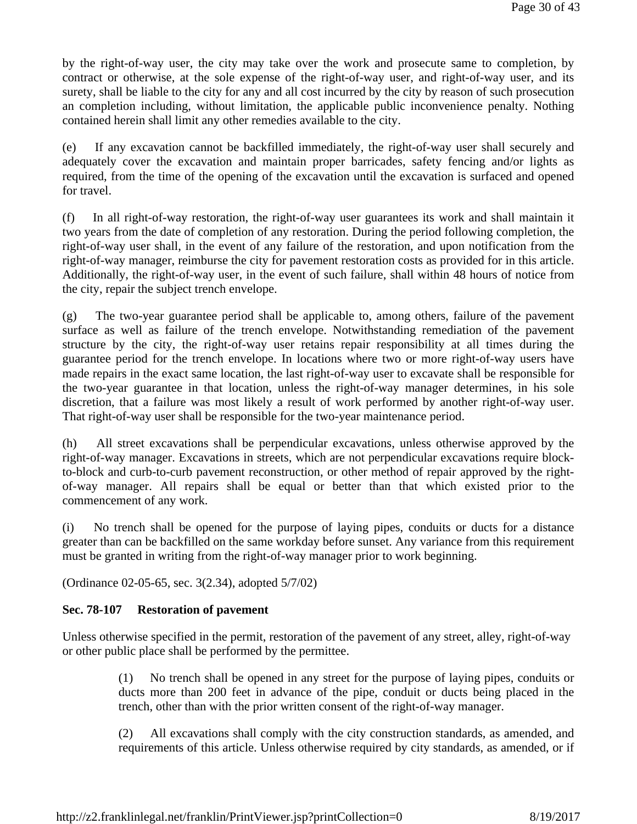by the right-of-way user, the city may take over the work and prosecute same to completion, by contract or otherwise, at the sole expense of the right-of-way user, and right-of-way user, and its surety, shall be liable to the city for any and all cost incurred by the city by reason of such prosecution an completion including, without limitation, the applicable public inconvenience penalty. Nothing contained herein shall limit any other remedies available to the city.

(e) If any excavation cannot be backfilled immediately, the right-of-way user shall securely and adequately cover the excavation and maintain proper barricades, safety fencing and/or lights as required, from the time of the opening of the excavation until the excavation is surfaced and opened for travel.

(f) In all right-of-way restoration, the right-of-way user guarantees its work and shall maintain it two years from the date of completion of any restoration. During the period following completion, the right-of-way user shall, in the event of any failure of the restoration, and upon notification from the right-of-way manager, reimburse the city for pavement restoration costs as provided for in this article. Additionally, the right-of-way user, in the event of such failure, shall within 48 hours of notice from the city, repair the subject trench envelope.

(g) The two-year guarantee period shall be applicable to, among others, failure of the pavement surface as well as failure of the trench envelope. Notwithstanding remediation of the pavement structure by the city, the right-of-way user retains repair responsibility at all times during the guarantee period for the trench envelope. In locations where two or more right-of-way users have made repairs in the exact same location, the last right-of-way user to excavate shall be responsible for the two-year guarantee in that location, unless the right-of-way manager determines, in his sole discretion, that a failure was most likely a result of work performed by another right-of-way user. That right-of-way user shall be responsible for the two-year maintenance period.

(h) All street excavations shall be perpendicular excavations, unless otherwise approved by the right-of-way manager. Excavations in streets, which are not perpendicular excavations require blockto-block and curb-to-curb pavement reconstruction, or other method of repair approved by the rightof-way manager. All repairs shall be equal or better than that which existed prior to the commencement of any work.

(i) No trench shall be opened for the purpose of laying pipes, conduits or ducts for a distance greater than can be backfilled on the same workday before sunset. Any variance from this requirement must be granted in writing from the right-of-way manager prior to work beginning.

(Ordinance 02-05-65, sec. 3(2.34), adopted 5/7/02)

## **Sec. 78-107 Restoration of pavement**

Unless otherwise specified in the permit, restoration of the pavement of any street, alley, right-of-way or other public place shall be performed by the permittee.

> (1) No trench shall be opened in any street for the purpose of laying pipes, conduits or ducts more than 200 feet in advance of the pipe, conduit or ducts being placed in the trench, other than with the prior written consent of the right-of-way manager.

> (2) All excavations shall comply with the city construction standards, as amended, and requirements of this article. Unless otherwise required by city standards, as amended, or if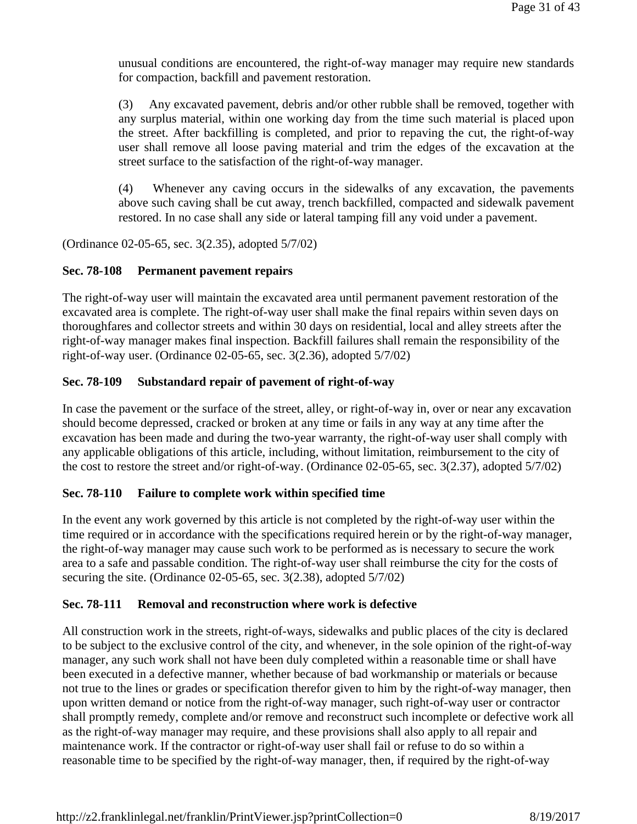unusual conditions are encountered, the right-of-way manager may require new standards for compaction, backfill and pavement restoration.

(3) Any excavated pavement, debris and/or other rubble shall be removed, together with any surplus material, within one working day from the time such material is placed upon the street. After backfilling is completed, and prior to repaving the cut, the right-of-way user shall remove all loose paving material and trim the edges of the excavation at the street surface to the satisfaction of the right-of-way manager.

(4) Whenever any caving occurs in the sidewalks of any excavation, the pavements above such caving shall be cut away, trench backfilled, compacted and sidewalk pavement restored. In no case shall any side or lateral tamping fill any void under a pavement.

(Ordinance 02-05-65, sec. 3(2.35), adopted 5/7/02)

## **Sec. 78-108 Permanent pavement repairs**

The right-of-way user will maintain the excavated area until permanent pavement restoration of the excavated area is complete. The right-of-way user shall make the final repairs within seven days on thoroughfares and collector streets and within 30 days on residential, local and alley streets after the right-of-way manager makes final inspection. Backfill failures shall remain the responsibility of the right-of-way user. (Ordinance 02-05-65, sec. 3(2.36), adopted 5/7/02)

# **Sec. 78-109 Substandard repair of pavement of right-of-way**

In case the pavement or the surface of the street, alley, or right-of-way in, over or near any excavation should become depressed, cracked or broken at any time or fails in any way at any time after the excavation has been made and during the two-year warranty, the right-of-way user shall comply with any applicable obligations of this article, including, without limitation, reimbursement to the city of the cost to restore the street and/or right-of-way. (Ordinance 02-05-65, sec. 3(2.37), adopted 5/7/02)

# **Sec. 78-110 Failure to complete work within specified time**

In the event any work governed by this article is not completed by the right-of-way user within the time required or in accordance with the specifications required herein or by the right-of-way manager, the right-of-way manager may cause such work to be performed as is necessary to secure the work area to a safe and passable condition. The right-of-way user shall reimburse the city for the costs of securing the site. (Ordinance 02-05-65, sec. 3(2.38), adopted 5/7/02)

## **Sec. 78-111 Removal and reconstruction where work is defective**

All construction work in the streets, right-of-ways, sidewalks and public places of the city is declared to be subject to the exclusive control of the city, and whenever, in the sole opinion of the right-of-way manager, any such work shall not have been duly completed within a reasonable time or shall have been executed in a defective manner, whether because of bad workmanship or materials or because not true to the lines or grades or specification therefor given to him by the right-of-way manager, then upon written demand or notice from the right-of-way manager, such right-of-way user or contractor shall promptly remedy, complete and/or remove and reconstruct such incomplete or defective work all as the right-of-way manager may require, and these provisions shall also apply to all repair and maintenance work. If the contractor or right-of-way user shall fail or refuse to do so within a reasonable time to be specified by the right-of-way manager, then, if required by the right-of-way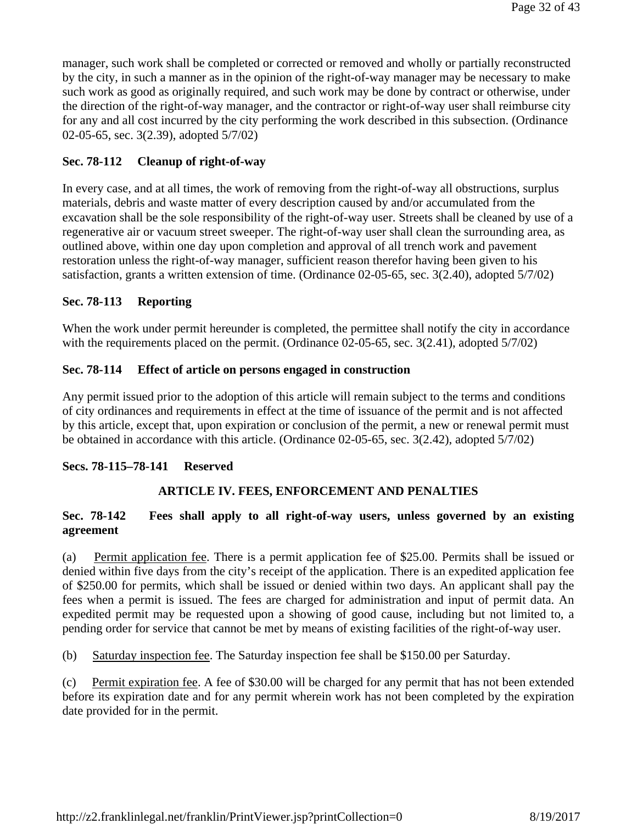manager, such work shall be completed or corrected or removed and wholly or partially reconstructed by the city, in such a manner as in the opinion of the right-of-way manager may be necessary to make such work as good as originally required, and such work may be done by contract or otherwise, under the direction of the right-of-way manager, and the contractor or right-of-way user shall reimburse city for any and all cost incurred by the city performing the work described in this subsection. (Ordinance 02-05-65, sec. 3(2.39), adopted 5/7/02)

# **Sec. 78-112 Cleanup of right-of-way**

In every case, and at all times, the work of removing from the right-of-way all obstructions, surplus materials, debris and waste matter of every description caused by and/or accumulated from the excavation shall be the sole responsibility of the right-of-way user. Streets shall be cleaned by use of a regenerative air or vacuum street sweeper. The right-of-way user shall clean the surrounding area, as outlined above, within one day upon completion and approval of all trench work and pavement restoration unless the right-of-way manager, sufficient reason therefor having been given to his satisfaction, grants a written extension of time. (Ordinance 02-05-65, sec. 3(2.40), adopted 5/7/02)

## **Sec. 78-113 Reporting**

When the work under permit hereunder is completed, the permittee shall notify the city in accordance with the requirements placed on the permit. (Ordinance 02-05-65, sec. 3(2.41), adopted 5/7/02)

# **Sec. 78-114 Effect of article on persons engaged in construction**

Any permit issued prior to the adoption of this article will remain subject to the terms and conditions of city ordinances and requirements in effect at the time of issuance of the permit and is not affected by this article, except that, upon expiration or conclusion of the permit, a new or renewal permit must be obtained in accordance with this article. (Ordinance 02-05-65, sec. 3(2.42), adopted 5/7/02)

## **Secs. 78-115–78-141 Reserved**

# **ARTICLE IV. FEES, ENFORCEMENT AND PENALTIES**

# **Sec. 78-142 Fees shall apply to all right-of-way users, unless governed by an existing agreement**

(a) Permit application fee. There is a permit application fee of \$25.00. Permits shall be issued or denied within five days from the city's receipt of the application. There is an expedited application fee of \$250.00 for permits, which shall be issued or denied within two days. An applicant shall pay the fees when a permit is issued. The fees are charged for administration and input of permit data. An expedited permit may be requested upon a showing of good cause, including but not limited to, a pending order for service that cannot be met by means of existing facilities of the right-of-way user.

(b) Saturday inspection fee. The Saturday inspection fee shall be \$150.00 per Saturday.

(c) Permit expiration fee. A fee of \$30.00 will be charged for any permit that has not been extended before its expiration date and for any permit wherein work has not been completed by the expiration date provided for in the permit.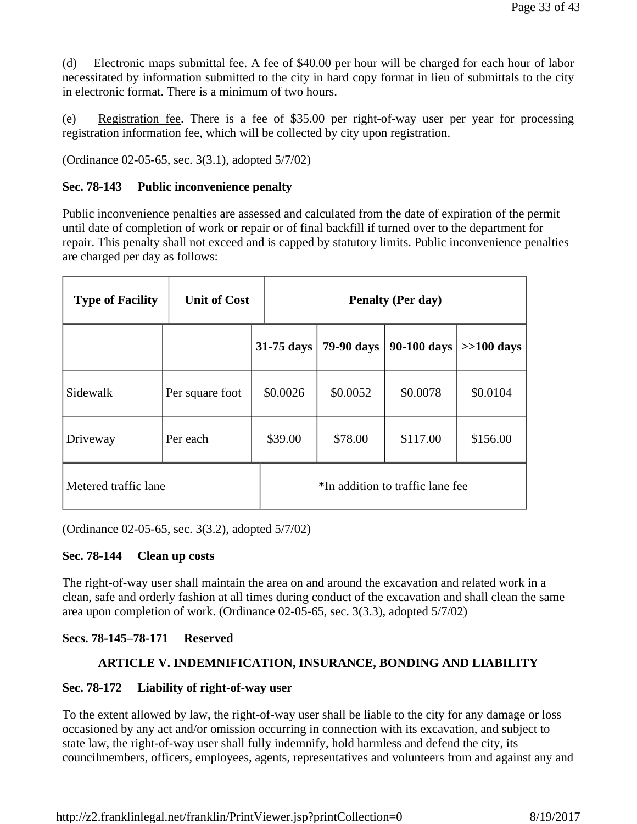(d) Electronic maps submittal fee. A fee of \$40.00 per hour will be charged for each hour of labor necessitated by information submitted to the city in hard copy format in lieu of submittals to the city in electronic format. There is a minimum of two hours.

(e) Registration fee. There is a fee of \$35.00 per right-of-way user per year for processing registration information fee, which will be collected by city upon registration.

(Ordinance 02-05-65, sec. 3(3.1), adopted 5/7/02)

## **Sec. 78-143 Public inconvenience penalty**

Public inconvenience penalties are assessed and calculated from the date of expiration of the permit until date of completion of work or repair or of final backfill if turned over to the department for repair. This penalty shall not exceed and is capped by statutory limits. Public inconvenience penalties are charged per day as follows:

| <b>Type of Facility</b> | <b>Unit of Cost</b> |            |                                  | <b>Penalty (Per day)</b> |              |
|-------------------------|---------------------|------------|----------------------------------|--------------------------|--------------|
|                         |                     | 31-75 days | 79-90 days                       | 90-100 days              | $>>100$ days |
| Sidewalk                | Per square foot     | \$0.0026   | \$0.0052                         | \$0.0078                 | \$0.0104     |
| Driveway                | Per each            | \$39.00    | \$78.00                          | \$117.00                 | \$156.00     |
| Metered traffic lane    |                     |            | *In addition to traffic lane fee |                          |              |

(Ordinance 02-05-65, sec. 3(3.2), adopted 5/7/02)

## **Sec. 78-144 Clean up costs**

The right-of-way user shall maintain the area on and around the excavation and related work in a clean, safe and orderly fashion at all times during conduct of the excavation and shall clean the same area upon completion of work. (Ordinance 02-05-65, sec. 3(3.3), adopted 5/7/02)

# **Secs. 78-145–78-171 Reserved**

# **ARTICLE V. INDEMNIFICATION, INSURANCE, BONDING AND LIABILITY**

## **Sec. 78-172 Liability of right-of-way user**

To the extent allowed by law, the right-of-way user shall be liable to the city for any damage or loss occasioned by any act and/or omission occurring in connection with its excavation, and subject to state law, the right-of-way user shall fully indemnify, hold harmless and defend the city, its councilmembers, officers, employees, agents, representatives and volunteers from and against any and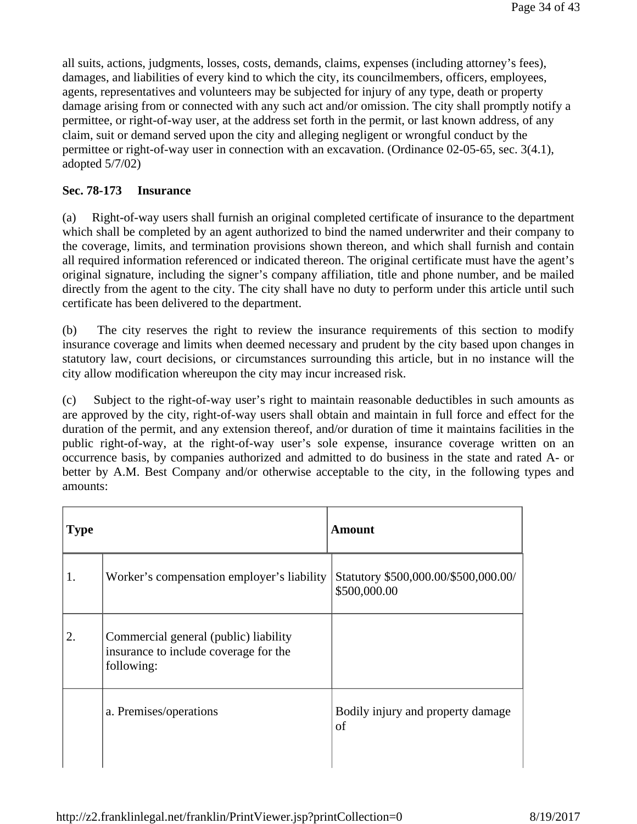all suits, actions, judgments, losses, costs, demands, claims, expenses (including attorney's fees), damages, and liabilities of every kind to which the city, its councilmembers, officers, employees, agents, representatives and volunteers may be subjected for injury of any type, death or property damage arising from or connected with any such act and/or omission. The city shall promptly notify a permittee, or right-of-way user, at the address set forth in the permit, or last known address, of any claim, suit or demand served upon the city and alleging negligent or wrongful conduct by the permittee or right-of-way user in connection with an excavation. (Ordinance 02-05-65, sec. 3(4.1), adopted 5/7/02)

## **Sec. 78-173 Insurance**

(a) Right-of-way users shall furnish an original completed certificate of insurance to the department which shall be completed by an agent authorized to bind the named underwriter and their company to the coverage, limits, and termination provisions shown thereon, and which shall furnish and contain all required information referenced or indicated thereon. The original certificate must have the agent's original signature, including the signer's company affiliation, title and phone number, and be mailed directly from the agent to the city. The city shall have no duty to perform under this article until such certificate has been delivered to the department.

(b) The city reserves the right to review the insurance requirements of this section to modify insurance coverage and limits when deemed necessary and prudent by the city based upon changes in statutory law, court decisions, or circumstances surrounding this article, but in no instance will the city allow modification whereupon the city may incur increased risk.

(c) Subject to the right-of-way user's right to maintain reasonable deductibles in such amounts as are approved by the city, right-of-way users shall obtain and maintain in full force and effect for the duration of the permit, and any extension thereof, and/or duration of time it maintains facilities in the public right-of-way, at the right-of-way user's sole expense, insurance coverage written on an occurrence basis, by companies authorized and admitted to do business in the state and rated A- or better by A.M. Best Company and/or otherwise acceptable to the city, in the following types and amounts:

| <b>Type</b> |                                                                                              | <b>Amount</b>                                        |
|-------------|----------------------------------------------------------------------------------------------|------------------------------------------------------|
| 1.          | Worker's compensation employer's liability                                                   | Statutory \$500,000.00/\$500,000.00/<br>\$500,000.00 |
| 2.          | Commercial general (public) liability<br>insurance to include coverage for the<br>following: |                                                      |
|             | a. Premises/operations                                                                       | Bodily injury and property damage<br>of              |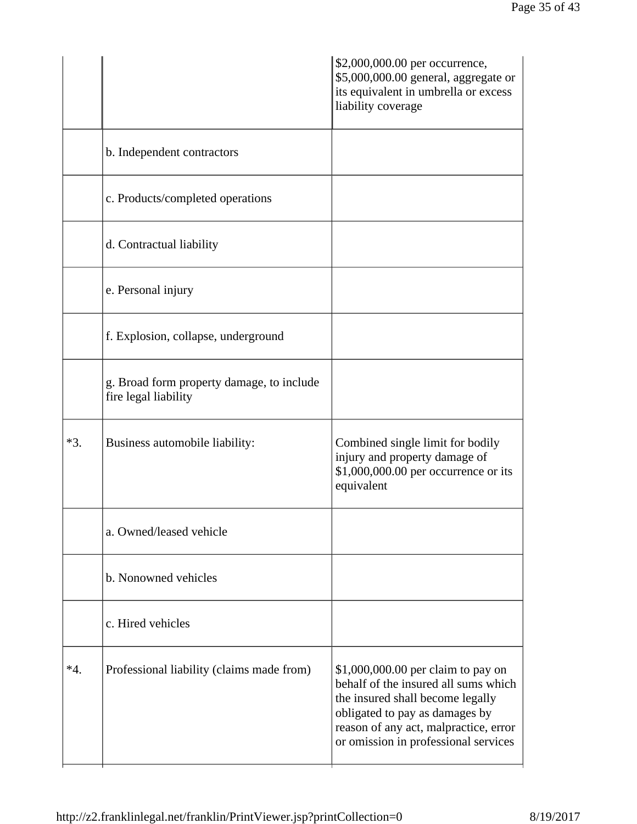|       |                                                                   | \$2,000,000.00 per occurrence,<br>\$5,000,000.00 general, aggregate or<br>its equivalent in umbrella or excess<br>liability coverage                                                                                              |
|-------|-------------------------------------------------------------------|-----------------------------------------------------------------------------------------------------------------------------------------------------------------------------------------------------------------------------------|
|       | b. Independent contractors                                        |                                                                                                                                                                                                                                   |
|       | c. Products/completed operations                                  |                                                                                                                                                                                                                                   |
|       | d. Contractual liability                                          |                                                                                                                                                                                                                                   |
|       | e. Personal injury                                                |                                                                                                                                                                                                                                   |
|       | f. Explosion, collapse, underground                               |                                                                                                                                                                                                                                   |
|       | g. Broad form property damage, to include<br>fire legal liability |                                                                                                                                                                                                                                   |
| $*3.$ | Business automobile liability:                                    | Combined single limit for bodily<br>injury and property damage of<br>\$1,000,000.00 per occurrence or its<br>equivalent                                                                                                           |
|       | a. Owned/leased vehicle                                           |                                                                                                                                                                                                                                   |
|       | b. Nonowned vehicles                                              |                                                                                                                                                                                                                                   |
|       | c. Hired vehicles                                                 |                                                                                                                                                                                                                                   |
| $*4.$ | Professional liability (claims made from)                         | \$1,000,000.00 per claim to pay on<br>behalf of the insured all sums which<br>the insured shall become legally<br>obligated to pay as damages by<br>reason of any act, malpractice, error<br>or omission in professional services |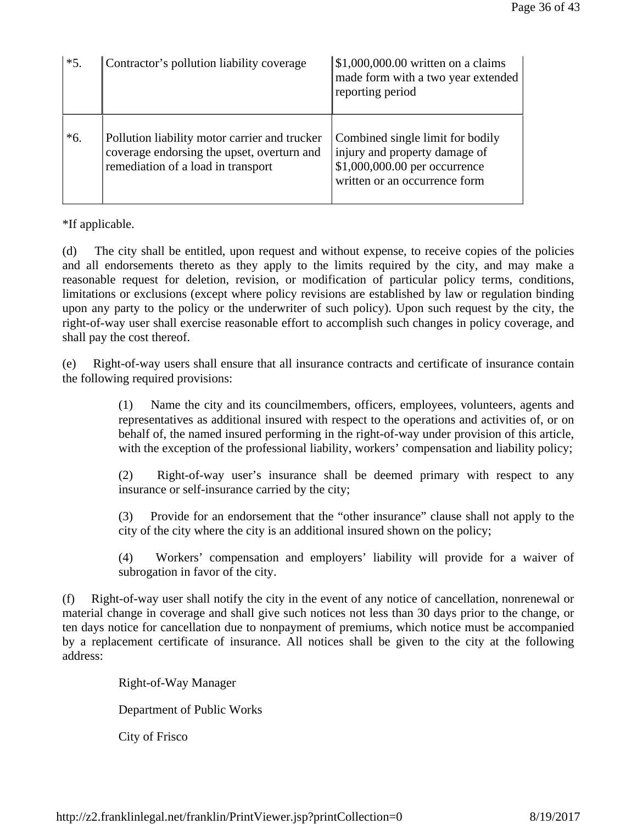| $*5.$ | Contractor's pollution liability coverage                                                                                         | $\vert$ \$1,000,000.00 written on a claims<br>made form with a two year extended<br>reporting period                                |
|-------|-----------------------------------------------------------------------------------------------------------------------------------|-------------------------------------------------------------------------------------------------------------------------------------|
| $*6.$ | Pollution liability motor carrier and trucker<br>coverage endorsing the upset, overturn and<br>remediation of a load in transport | Combined single limit for bodily<br>injury and property damage of<br>\$1,000,000.00 per occurrence<br>written or an occurrence form |

\*If applicable.

(d) The city shall be entitled, upon request and without expense, to receive copies of the policies and all endorsements thereto as they apply to the limits required by the city, and may make a reasonable request for deletion, revision, or modification of particular policy terms, conditions, limitations or exclusions (except where policy revisions are established by law or regulation binding upon any party to the policy or the underwriter of such policy). Upon such request by the city, the right-of-way user shall exercise reasonable effort to accomplish such changes in policy coverage, and shall pay the cost thereof.

(e) Right-of-way users shall ensure that all insurance contracts and certificate of insurance contain the following required provisions:

> (1) Name the city and its councilmembers, officers, employees, volunteers, agents and representatives as additional insured with respect to the operations and activities of, or on behalf of, the named insured performing in the right-of-way under provision of this article, with the exception of the professional liability, workers' compensation and liability policy;

> (2) Right-of-way user's insurance shall be deemed primary with respect to any insurance or self-insurance carried by the city;

> (3) Provide for an endorsement that the "other insurance" clause shall not apply to the city of the city where the city is an additional insured shown on the policy;

> (4) Workers' compensation and employers' liability will provide for a waiver of subrogation in favor of the city.

(f) Right-of-way user shall notify the city in the event of any notice of cancellation, nonrenewal or material change in coverage and shall give such notices not less than 30 days prior to the change, or ten days notice for cancellation due to nonpayment of premiums, which notice must be accompanied by a replacement certificate of insurance. All notices shall be given to the city at the following address:

Right-of-Way Manager

Department of Public Works

City of Frisco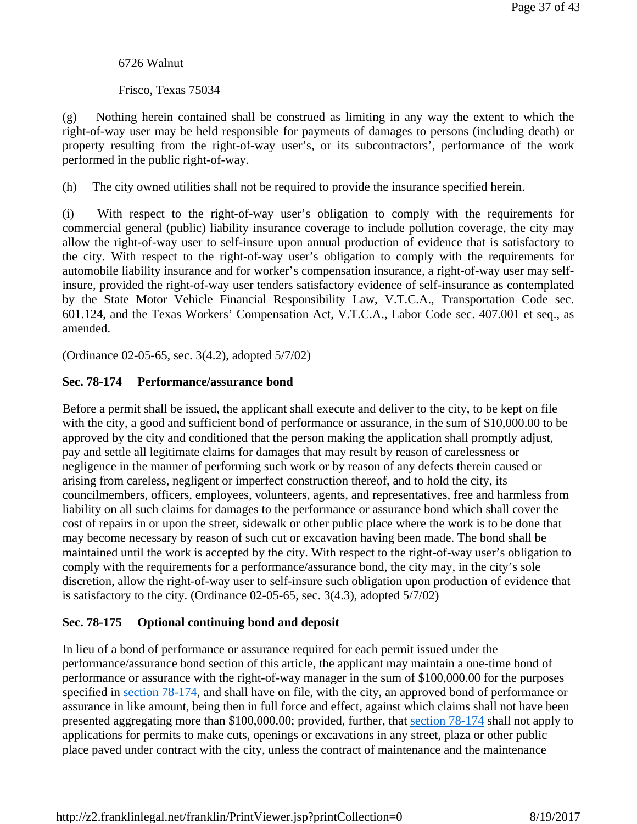## 6726 Walnut

Frisco, Texas 75034

(g) Nothing herein contained shall be construed as limiting in any way the extent to which the right-of-way user may be held responsible for payments of damages to persons (including death) or property resulting from the right-of-way user's, or its subcontractors', performance of the work performed in the public right-of-way.

(h) The city owned utilities shall not be required to provide the insurance specified herein.

(i) With respect to the right-of-way user's obligation to comply with the requirements for commercial general (public) liability insurance coverage to include pollution coverage, the city may allow the right-of-way user to self-insure upon annual production of evidence that is satisfactory to the city. With respect to the right-of-way user's obligation to comply with the requirements for automobile liability insurance and for worker's compensation insurance, a right-of-way user may selfinsure, provided the right-of-way user tenders satisfactory evidence of self-insurance as contemplated by the State Motor Vehicle Financial Responsibility Law, V.T.C.A., Transportation Code sec. 601.124, and the Texas Workers' Compensation Act, V.T.C.A., Labor Code sec. 407.001 et seq., as amended.

(Ordinance 02-05-65, sec. 3(4.2), adopted 5/7/02)

# **Sec. 78-174 Performance/assurance bond**

Before a permit shall be issued, the applicant shall execute and deliver to the city, to be kept on file with the city, a good and sufficient bond of performance or assurance, in the sum of \$10,000.00 to be approved by the city and conditioned that the person making the application shall promptly adjust, pay and settle all legitimate claims for damages that may result by reason of carelessness or negligence in the manner of performing such work or by reason of any defects therein caused or arising from careless, negligent or imperfect construction thereof, and to hold the city, its councilmembers, officers, employees, volunteers, agents, and representatives, free and harmless from liability on all such claims for damages to the performance or assurance bond which shall cover the cost of repairs in or upon the street, sidewalk or other public place where the work is to be done that may become necessary by reason of such cut or excavation having been made. The bond shall be maintained until the work is accepted by the city. With respect to the right-of-way user's obligation to comply with the requirements for a performance/assurance bond, the city may, in the city's sole discretion, allow the right-of-way user to self-insure such obligation upon production of evidence that is satisfactory to the city. (Ordinance 02-05-65, sec. 3(4.3), adopted 5/7/02)

## **Sec. 78-175 Optional continuing bond and deposit**

In lieu of a bond of performance or assurance required for each permit issued under the performance/assurance bond section of this article, the applicant may maintain a one-time bond of performance or assurance with the right-of-way manager in the sum of \$100,000.00 for the purposes specified in section 78-174, and shall have on file, with the city, an approved bond of performance or assurance in like amount, being then in full force and effect, against which claims shall not have been presented aggregating more than \$100,000.00; provided, further, that section 78-174 shall not apply to applications for permits to make cuts, openings or excavations in any street, plaza or other public place paved under contract with the city, unless the contract of maintenance and the maintenance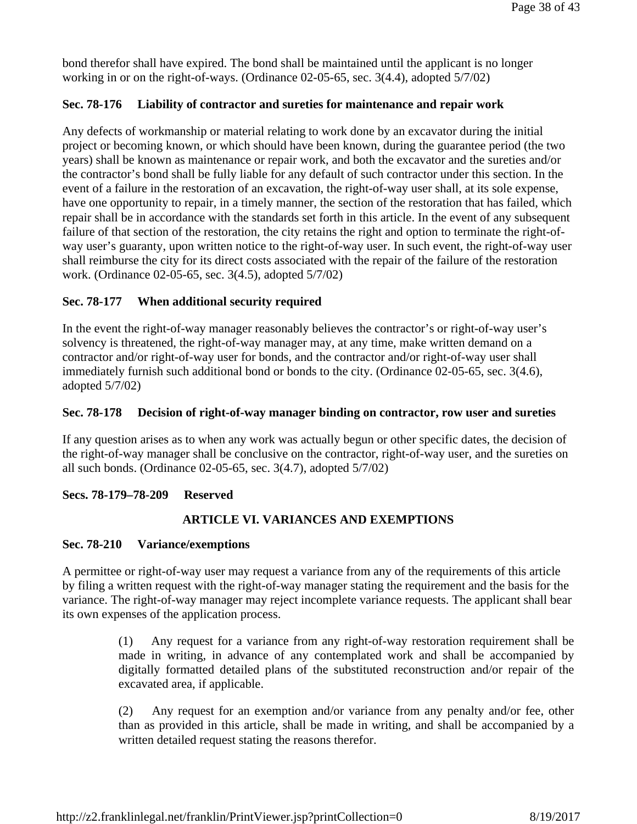bond therefor shall have expired. The bond shall be maintained until the applicant is no longer working in or on the right-of-ways. (Ordinance 02-05-65, sec. 3(4.4), adopted 5/7/02)

# **Sec. 78-176 Liability of contractor and sureties for maintenance and repair work**

Any defects of workmanship or material relating to work done by an excavator during the initial project or becoming known, or which should have been known, during the guarantee period (the two years) shall be known as maintenance or repair work, and both the excavator and the sureties and/or the contractor's bond shall be fully liable for any default of such contractor under this section. In the event of a failure in the restoration of an excavation, the right-of-way user shall, at its sole expense, have one opportunity to repair, in a timely manner, the section of the restoration that has failed, which repair shall be in accordance with the standards set forth in this article. In the event of any subsequent failure of that section of the restoration, the city retains the right and option to terminate the right-ofway user's guaranty, upon written notice to the right-of-way user. In such event, the right-of-way user shall reimburse the city for its direct costs associated with the repair of the failure of the restoration work. (Ordinance 02-05-65, sec. 3(4.5), adopted 5/7/02)

## **Sec. 78-177 When additional security required**

In the event the right-of-way manager reasonably believes the contractor's or right-of-way user's solvency is threatened, the right-of-way manager may, at any time, make written demand on a contractor and/or right-of-way user for bonds, and the contractor and/or right-of-way user shall immediately furnish such additional bond or bonds to the city. (Ordinance 02-05-65, sec. 3(4.6), adopted 5/7/02)

## **Sec. 78-178 Decision of right-of-way manager binding on contractor, row user and sureties**

If any question arises as to when any work was actually begun or other specific dates, the decision of the right-of-way manager shall be conclusive on the contractor, right-of-way user, and the sureties on all such bonds. (Ordinance 02-05-65, sec. 3(4.7), adopted 5/7/02)

## **Secs. 78-179–78-209 Reserved**

## **ARTICLE VI. VARIANCES AND EXEMPTIONS**

#### **Sec. 78-210 Variance/exemptions**

A permittee or right-of-way user may request a variance from any of the requirements of this article by filing a written request with the right-of-way manager stating the requirement and the basis for the variance. The right-of-way manager may reject incomplete variance requests. The applicant shall bear its own expenses of the application process.

> (1) Any request for a variance from any right-of-way restoration requirement shall be made in writing, in advance of any contemplated work and shall be accompanied by digitally formatted detailed plans of the substituted reconstruction and/or repair of the excavated area, if applicable.

> (2) Any request for an exemption and/or variance from any penalty and/or fee, other than as provided in this article, shall be made in writing, and shall be accompanied by a written detailed request stating the reasons therefor.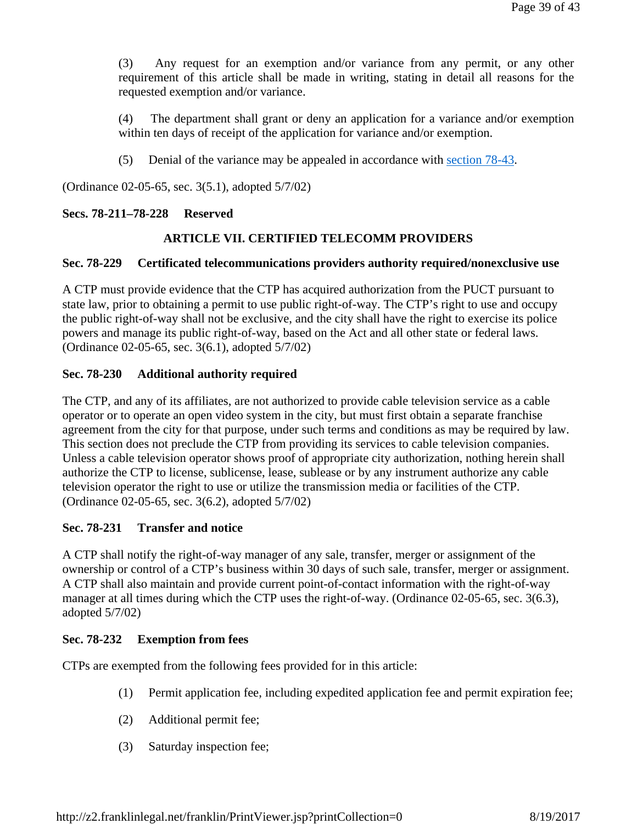(3) Any request for an exemption and/or variance from any permit, or any other requirement of this article shall be made in writing, stating in detail all reasons for the requested exemption and/or variance.

(4) The department shall grant or deny an application for a variance and/or exemption within ten days of receipt of the application for variance and/or exemption.

(5) Denial of the variance may be appealed in accordance with section 78-43.

(Ordinance 02-05-65, sec. 3(5.1), adopted 5/7/02)

# **Secs. 78-211–78-228 Reserved**

# **ARTICLE VII. CERTIFIED TELECOMM PROVIDERS**

## **Sec. 78-229 Certificated telecommunications providers authority required/nonexclusive use**

A CTP must provide evidence that the CTP has acquired authorization from the PUCT pursuant to state law, prior to obtaining a permit to use public right-of-way. The CTP's right to use and occupy the public right-of-way shall not be exclusive, and the city shall have the right to exercise its police powers and manage its public right-of-way, based on the Act and all other state or federal laws. (Ordinance 02-05-65, sec. 3(6.1), adopted 5/7/02)

# **Sec. 78-230 Additional authority required**

The CTP, and any of its affiliates, are not authorized to provide cable television service as a cable operator or to operate an open video system in the city, but must first obtain a separate franchise agreement from the city for that purpose, under such terms and conditions as may be required by law. This section does not preclude the CTP from providing its services to cable television companies. Unless a cable television operator shows proof of appropriate city authorization, nothing herein shall authorize the CTP to license, sublicense, lease, sublease or by any instrument authorize any cable television operator the right to use or utilize the transmission media or facilities of the CTP. (Ordinance 02-05-65, sec. 3(6.2), adopted 5/7/02)

## **Sec. 78-231 Transfer and notice**

A CTP shall notify the right-of-way manager of any sale, transfer, merger or assignment of the ownership or control of a CTP's business within 30 days of such sale, transfer, merger or assignment. A CTP shall also maintain and provide current point-of-contact information with the right-of-way manager at all times during which the CTP uses the right-of-way. (Ordinance 02-05-65, sec. 3(6.3), adopted 5/7/02)

## **Sec. 78-232 Exemption from fees**

CTPs are exempted from the following fees provided for in this article:

- (1) Permit application fee, including expedited application fee and permit expiration fee;
- (2) Additional permit fee;
- (3) Saturday inspection fee;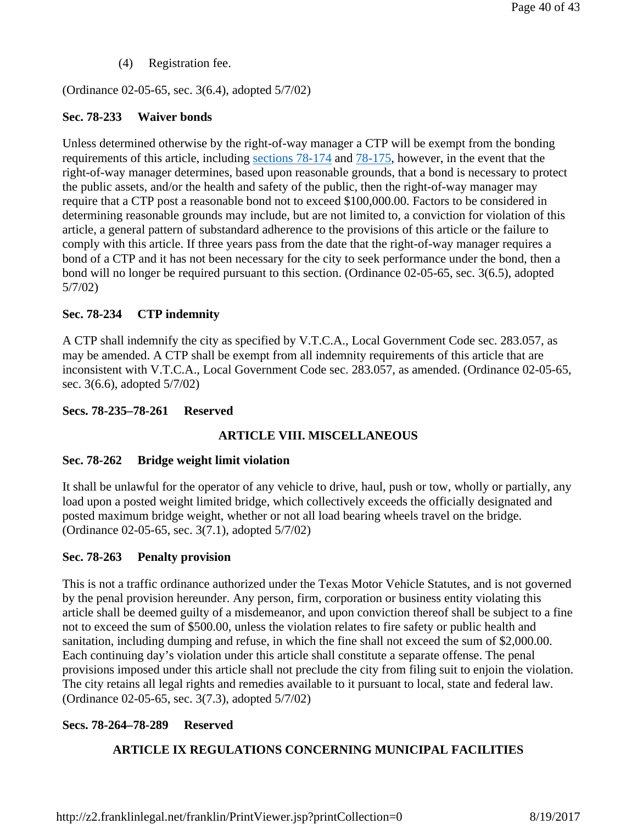(4) Registration fee.

(Ordinance 02-05-65, sec. 3(6.4), adopted 5/7/02)

## **Sec. 78-233 Waiver bonds**

Unless determined otherwise by the right-of-way manager a CTP will be exempt from the bonding requirements of this article, including sections 78-174 and 78-175, however, in the event that the right-of-way manager determines, based upon reasonable grounds, that a bond is necessary to protect the public assets, and/or the health and safety of the public, then the right-of-way manager may require that a CTP post a reasonable bond not to exceed \$100,000.00. Factors to be considered in determining reasonable grounds may include, but are not limited to, a conviction for violation of this article, a general pattern of substandard adherence to the provisions of this article or the failure to comply with this article. If three years pass from the date that the right-of-way manager requires a bond of a CTP and it has not been necessary for the city to seek performance under the bond, then a bond will no longer be required pursuant to this section. (Ordinance 02-05-65, sec. 3(6.5), adopted 5/7/02)

# **Sec. 78-234 CTP indemnity**

A CTP shall indemnify the city as specified by V.T.C.A., Local Government Code sec. 283.057, as may be amended. A CTP shall be exempt from all indemnity requirements of this article that are inconsistent with V.T.C.A., Local Government Code sec. 283.057, as amended. (Ordinance 02-05-65, sec. 3(6.6), adopted 5/7/02)

# **Secs. 78-235–78-261 Reserved**

# **ARTICLE VIII. MISCELLANEOUS**

## **Sec. 78-262 Bridge weight limit violation**

It shall be unlawful for the operator of any vehicle to drive, haul, push or tow, wholly or partially, any load upon a posted weight limited bridge, which collectively exceeds the officially designated and posted maximum bridge weight, whether or not all load bearing wheels travel on the bridge. (Ordinance 02-05-65, sec. 3(7.1), adopted 5/7/02)

# **Sec. 78-263 Penalty provision**

This is not a traffic ordinance authorized under the Texas Motor Vehicle Statutes, and is not governed by the penal provision hereunder. Any person, firm, corporation or business entity violating this article shall be deemed guilty of a misdemeanor, and upon conviction thereof shall be subject to a fine not to exceed the sum of \$500.00, unless the violation relates to fire safety or public health and sanitation, including dumping and refuse, in which the fine shall not exceed the sum of \$2,000.00. Each continuing day's violation under this article shall constitute a separate offense. The penal provisions imposed under this article shall not preclude the city from filing suit to enjoin the violation. The city retains all legal rights and remedies available to it pursuant to local, state and federal law. (Ordinance 02-05-65, sec. 3(7.3), adopted 5/7/02)

# **Secs. 78-264–78-289 Reserved**

# **ARTICLE IX REGULATIONS CONCERNING MUNICIPAL FACILITIES**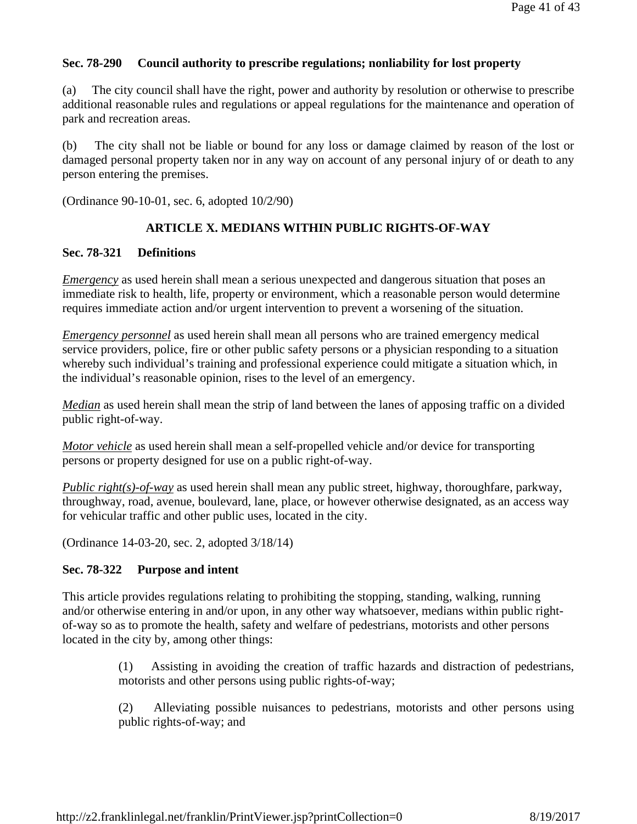# **Sec. 78-290 Council authority to prescribe regulations; nonliability for lost property**

(a) The city council shall have the right, power and authority by resolution or otherwise to prescribe additional reasonable rules and regulations or appeal regulations for the maintenance and operation of park and recreation areas.

(b) The city shall not be liable or bound for any loss or damage claimed by reason of the lost or damaged personal property taken nor in any way on account of any personal injury of or death to any person entering the premises.

(Ordinance 90-10-01, sec. 6, adopted 10/2/90)

# **ARTICLE X. MEDIANS WITHIN PUBLIC RIGHTS-OF-WAY**

## **Sec. 78-321 Definitions**

*Emergency* as used herein shall mean a serious unexpected and dangerous situation that poses an immediate risk to health, life, property or environment, which a reasonable person would determine requires immediate action and/or urgent intervention to prevent a worsening of the situation.

*Emergency personnel* as used herein shall mean all persons who are trained emergency medical service providers, police, fire or other public safety persons or a physician responding to a situation whereby such individual's training and professional experience could mitigate a situation which, in the individual's reasonable opinion, rises to the level of an emergency.

*Median* as used herein shall mean the strip of land between the lanes of apposing traffic on a divided public right-of-way.

*Motor vehicle* as used herein shall mean a self-propelled vehicle and/or device for transporting persons or property designed for use on a public right-of-way.

*Public right(s)-of-way* as used herein shall mean any public street, highway, thoroughfare, parkway, throughway, road, avenue, boulevard, lane, place, or however otherwise designated, as an access way for vehicular traffic and other public uses, located in the city.

(Ordinance 14-03-20, sec. 2, adopted 3/18/14)

# **Sec. 78-322 Purpose and intent**

This article provides regulations relating to prohibiting the stopping, standing, walking, running and/or otherwise entering in and/or upon, in any other way whatsoever, medians within public rightof-way so as to promote the health, safety and welfare of pedestrians, motorists and other persons located in the city by, among other things:

> (1) Assisting in avoiding the creation of traffic hazards and distraction of pedestrians, motorists and other persons using public rights-of-way;

> (2) Alleviating possible nuisances to pedestrians, motorists and other persons using public rights-of-way; and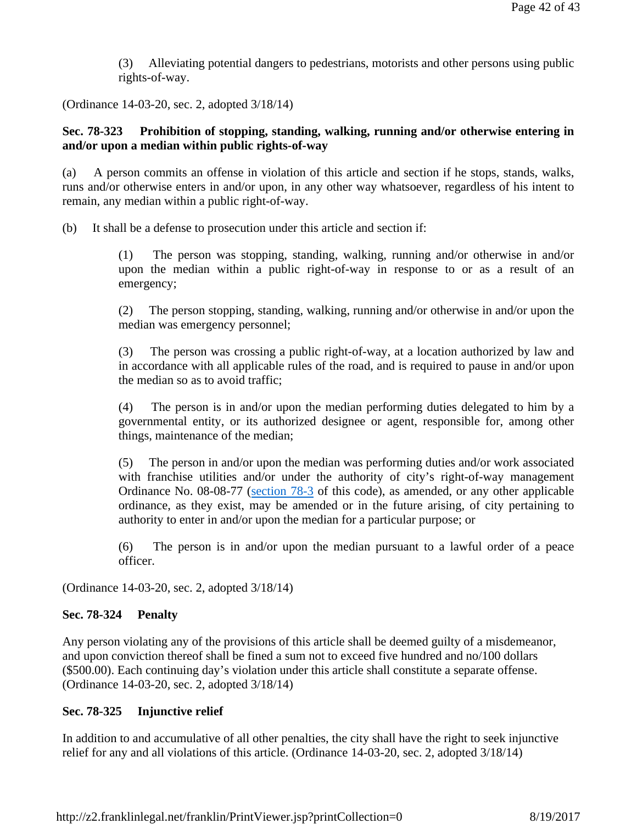(3) Alleviating potential dangers to pedestrians, motorists and other persons using public rights-of-way.

(Ordinance 14-03-20, sec. 2, adopted 3/18/14)

# **Sec. 78-323 Prohibition of stopping, standing, walking, running and/or otherwise entering in and/or upon a median within public rights-of-way**

(a) A person commits an offense in violation of this article and section if he stops, stands, walks, runs and/or otherwise enters in and/or upon, in any other way whatsoever, regardless of his intent to remain, any median within a public right-of-way.

(b) It shall be a defense to prosecution under this article and section if:

(1) The person was stopping, standing, walking, running and/or otherwise in and/or upon the median within a public right-of-way in response to or as a result of an emergency;

(2) The person stopping, standing, walking, running and/or otherwise in and/or upon the median was emergency personnel;

(3) The person was crossing a public right-of-way, at a location authorized by law and in accordance with all applicable rules of the road, and is required to pause in and/or upon the median so as to avoid traffic;

(4) The person is in and/or upon the median performing duties delegated to him by a governmental entity, or its authorized designee or agent, responsible for, among other things, maintenance of the median;

(5) The person in and/or upon the median was performing duties and/or work associated with franchise utilities and/or under the authority of city's right-of-way management Ordinance No. 08-08-77 (section 78-3 of this code), as amended, or any other applicable ordinance, as they exist, may be amended or in the future arising, of city pertaining to authority to enter in and/or upon the median for a particular purpose; or

(6) The person is in and/or upon the median pursuant to a lawful order of a peace officer.

(Ordinance 14-03-20, sec. 2, adopted 3/18/14)

## **Sec. 78-324 Penalty**

Any person violating any of the provisions of this article shall be deemed guilty of a misdemeanor, and upon conviction thereof shall be fined a sum not to exceed five hundred and no/100 dollars (\$500.00). Each continuing day's violation under this article shall constitute a separate offense. (Ordinance 14-03-20, sec. 2, adopted 3/18/14)

## **Sec. 78-325 Injunctive relief**

In addition to and accumulative of all other penalties, the city shall have the right to seek injunctive relief for any and all violations of this article. (Ordinance 14-03-20, sec. 2, adopted 3/18/14)